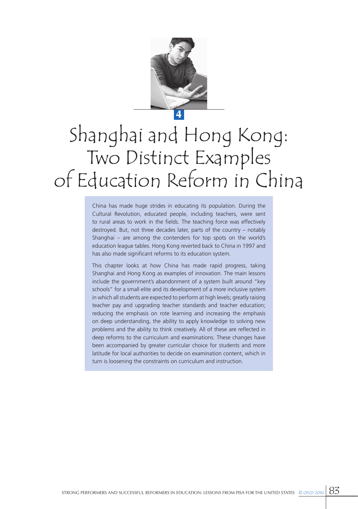

# Shanghai and Hong Kong: Two Distinct Examples of Education Reform in China

China has made huge strides in educating its population. During the Cultural Revolution, educated people, including teachers, were sent to rural areas to work in the fields. The teaching force was effectively destroyed. But, not three decades later, parts of the country – notably Shanghai – are among the contenders for top spots on the world's education league tables. Hong Kong reverted back to China in 1997 and has also made significant reforms to its education system.

This chapter looks at how China has made rapid progress, taking Shanghai and Hong Kong as examples of innovation. The main lessons include the government's abandonment of a system built around "key schools" for a small elite and its development of a more inclusive system in which all students are expected to perform at high levels; greatly raising teacher pay and upgrading teacher standards and teacher education; reducing the emphasis on rote learning and increasing the emphasis on deep understanding, the ability to apply knowledge to solving new problems and the ability to think creatively. All of these are reflected in deep reforms to the curriculum and examinations. These changes have been accompanied by greater curricular choice for students and more latitude for local authorities to decide on examination content, which in turn is loosening the constraints on curriculum and instruction.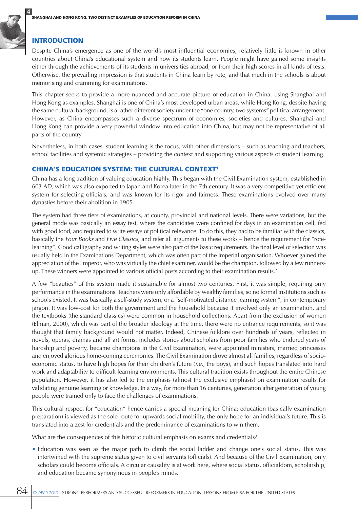## **INTRODUCTION**

Despite China's emergence as one of the world's most influential economies, relatively little is known in other countries about China's educational system and how its students learn. People might have gained some insights either through the achievements of its students in universities abroad, or from their high scores in all kinds of tests. Otherwise, the prevailing impression is that students in China learn by rote, and that much in the schools is about memorising and cramming for examinations.

This chapter seeks to provide a more nuanced and accurate picture of education in China, using Shanghai and Hong Kong as examples. Shanghai is one of China's most developed urban areas, while Hong Kong, despite having the same cultural background, is a rather different society under the "one country, two systems" political arrangement. However, as China encompasses such a diverse spectrum of economies, societies and cultures, Shanghai and Hong Kong can provide a very powerful window into education into China, but may not be representative of all parts of the country.

Nevertheless, in both cases, student learning is the focus, with other dimensions – such as teaching and teachers, school facilities and systemic strategies – providing the context and supporting various aspects of student learning.

#### CHINA'S EDUCATION SYSTEM: THE CULTURAL CONTEXT<sup>1</sup>

China has a long tradition of valuing education highly. This began with the Civil Examination system, established in 603 AD, which was also exported to Japan and Korea later in the 7th century. It was a very competitive yet efficient system for selecting officials, and was known for its rigor and fairness. These examinations evolved over many dynasties before their abolition in 1905.

The system had three tiers of examinations, at county, provincial and national levels. There were variations, but the general mode was basically an essay test, where the candidates were confined for days in an examination cell, fed with good food, and required to write essays of political relevance. To do this, they had to be familiar with the classics, basically the *Four Books* and *Five Classics*, and refer all arguments to these works – hence the requirement for "rotelearning". Good calligraphy and writing styles were also part of the basic requirements. The final level of selection was usually held in the Examinations Department, which was often part of the imperial organisation. Whoever gained the appreciation of the Emperor, who was virtually the chief examiner, would be the champion, followed by a few runnersup. These winners were appointed to various official posts according to their examination results.2

A few "beauties" of this system made it sustainable for almost two centuries. First, it was simple, requiring only performance in the examinations. Teachers were only affordable by wealthy families, so no formal institutions such as schools existed. It was basically a self-study system, or a "self-motivated distance learning system", in contemporary jargon. It was low-cost for both the government and the household because it involved only an examination, and the textbooks (the standard classics) were common in household collections. Apart from the exclusion of women (Elman, 2000), which was part of the broader ideology at the time, there were no entrance requirements, so it was thought that family background would not matter. Indeed, Chinese folklore over hundreds of years, reflected in novels, operas, dramas and all art forms, includes stories about scholars from poor families who endured years of hardship and poverty, became champions in the Civil Examination, were appointed ministers, married princesses and enjoyed glorious home-coming ceremonies. The Civil Examination drove almost all families, regardless of socioeconomic status, to have high hopes for their children's future (*i.e.*, the boys), and such hopes translated into hard work and adaptability to difficult learning environments. This cultural tradition exists throughout the entire Chinese population. However, it has also led to the emphasis (almost the exclusive emphasis) on examination results for validating genuine learning or knowledge. In a way, for more than 16 centuries, generation after generation of young people were trained only to face the challenges of examinations.

This cultural respect for "education" hence carries a special meaning for China: education (basically examination preparation) is viewed as the sole route for upwards social mobility, the only hope for an individual's future. This is translated into a zest for credentials and the predominance of examinations to win them.

What are the consequences of this historic cultural emphasis on exams and credentials?

*•* Education was seen as the major path to climb the social ladder and change one's social status. This was intertwined with the supreme status given to civil servants (officials). And because of the Civil Examination, only scholars could become officials. A circular causality is at work here, where social status, officialdom, scholarship, and education became synonymous in people's minds.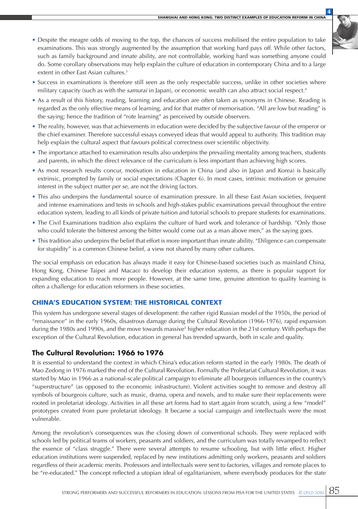

- Despite the meagre odds of moving to the top, the chances of success mobilised the entire population to take examinations. This was strongly augmented by the assumption that working hard pays off. While other factors, such as family background and innate ability, are not controllable, working hard was something anyone could do. Some corollary observations may help explain the culture of education in contemporary China and to a large extent in other East Asian cultures.<sup>3</sup>
- **•** Success in examinations is therefore still seen as the only respectable success, unlike in other societies where military capacity (such as with the *samurai* in Japan), or economic wealth can also attract social respect.4
- *•* As a result of this history, reading, learning and education are often taken as synonyms in Chinese. Reading is regarded as the only effective means of learning, and for that matter of memorisation. "All are low but reading" is the saying; hence the tradition of "rote learning" as perceived by outside observers.
- The reality, however, was that achievements in education were decided by the subjective favour of the emperor or the chief examiner. Therefore successful essays conveyed ideas that would appeal to authority. This tradition may help explain the cultural aspect that favours political correctness over scientific objectivity.
- The importance attached to examination results also underpins the prevailing mentality among teachers, students and parents, in which the direct relevance of the curriculum is less important than achieving high scores.
- *•* As most research results concur, motivation in education in China (and also in Japan and Korea) is basically extrinsic, prompted by family or social expectations (Chapter 6). In most cases, intrinsic motivation or genuine interest in the subject matter *per se*, are not the driving factors.
- *•* This also underpins the fundamental source of examination pressure. In all these East Asian societies, frequent and intense examinations and tests in schools and high-stakes public examinations prevail throughout the entire education system, leading to all kinds of private tuition and tutorial schools to prepare students for examinations.
- The Civil Examinations tradition also explains the culture of hard work and tolerance of hardship. "Only those who could tolerate the bitterest among the bitter would come out as a man above men," as the saying goes.
- This tradition also underpins the belief that effort is more important than innate ability. "Diligence can compensate for stupidity" is a common Chinese belief, a view not shared by many other cultures.

The social emphasis on education has always made it easy for Chinese-based societies (such as mainland China, Hong Kong, Chinese Taipei and Macao) to develop their education systems, as there is popular support for expanding education to reach more people. However, at the same time, genuine attention to quality learning is often a challenge for education reformers in these societies.

## China's education system: the historical context

This system has undergone several stages of development: the rather rigid Russian model of the 1950s, the period of "renaissance" in the early 1960s, disastrous damage during the Cultural Revolution (1966-1976), rapid expansion during the 1980s and 1990s, and the move towards massive<sup>5</sup> higher education in the 21st century. With perhaps the exception of the Cultural Revolution, education in general has trended upwards, both in scale and quality.

## **The Cultural Revolution: 1966 to1976**

It is essential to understand the context in which China's education reform started in the early 1980s. The death of Mao Zedong in 1976 marked the end of the Cultural Revolution. Formally the Proletariat Cultural Revolution, it was started by Mao in 1966 as a national-scale political campaign to eliminate all bourgeois influences in the country's "superstructure" (as opposed to the economic infrastructure). Violent activities sought to remove and destroy all symbols of bourgeois culture, such as music, drama, opera and novels, and to make sure their replacements were rooted in proletariat ideology. Activities in all these art forms had to start again from scratch, using a few "model" prototypes created from pure proletariat ideology. It became a social campaign and intellectuals were the most vulnerable.

Among the revolution's consequences was the closing down of conventional schools. They were replaced with schools led by political teams of workers, peasants and soldiers, and the curriculum was totally revamped to reflect the essence of "class struggle." There were several attempts to resume schooling, but with little effect. Higher education institutions were suspended, replaced by new institutions admitting only workers, peasants and soldiers regardless of their academic merits. Professors and intellectuals were sent to factories, villages and remote places to be "re-educated." The concept reflected a utopian ideal of egalitarianism, where everybody produces for the state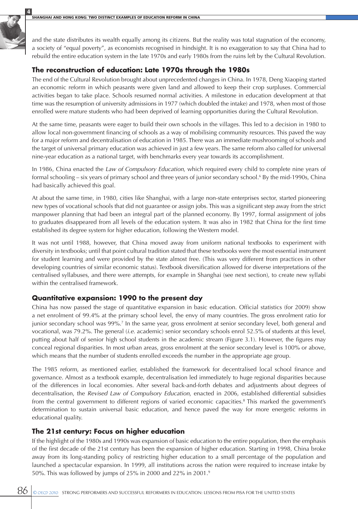and the state distributes its wealth equally among its citizens. But the reality was total stagnation of the economy, a society of "equal poverty", as economists recognised in hindsight. It is no exaggeration to say that China had to rebuild the entire education system in the late 1970s and early 1980s from the ruins left by the Cultural Revolution.

## **The reconstruction of education: Late 1970s through the 1980s**

The end of the Cultural Revolution brought about unprecedented changes in China. In 1978, Deng Xiaoping started an economic reform in which peasants were given land and allowed to keep their crop surpluses. Commercial activities began to take place. Schools resumed normal activities. A milestone in education development at that time was the resumption of university admissions in 1977 (which doubled the intake) and 1978, when most of those enrolled were mature students who had been deprived of learning opportunities during the Cultural Revolution.

At the same time, peasants were eager to build their own schools in the villages. This led to a decision in 1980 to allow local non-government financing of schools as a way of mobilising community resources. This paved the way for a major reform and decentralisation of education in 1985. There was an immediate mushrooming of schools and the target of universal primary education was achieved in just a few years. The same reform also called for universal nine-year education as a national target, with benchmarks every year towards its accomplishment.

In 1986, China enacted the *Law of Compulsory Education*, which required every child to complete nine years of formal schooling – six years of primary school and three years of junior secondary school.<sup>6</sup> By the mid-1990s, China had basically achieved this goal.

At about the same time, in 1980, cities like Shanghai, with a large non-state enterprises sector, started pioneering new types of vocational schools that did not guarantee or assign jobs. This was a significant step away from the strict manpower planning that had been an integral part of the planned economy. By 1997, formal assignment of jobs to graduates disappeared from all levels of the education system. It was also in 1982 that China for the first time established its degree system for higher education, following the Western model.

It was not until 1988, however, that China moved away from uniform national textbooks to experiment with diversity in textbooks; until that point cultural tradition stated that these textbooks were the most essential instrument for student learning and were provided by the state almost free. (This was very different from practices in other developing countries of similar economic status). Textbook diversification allowed for diverse interpretations of the centralised syllabuses, and there were attempts, for example in Shanghai (see next section), to create new syllabi within the centralised framework.

## **Quantitative expansion: 1990 to the present day**

China has now passed the stage of quantitative expansion in basic education. Official statistics (for 2009) show a net enrolment of 99.4% at the primary school level, the envy of many countries. The gross enrolment ratio for junior secondary school was 99%.<sup>7</sup> In the same year, gross enrolment at senior secondary level, both general and vocational, was 79.2%. The general (*i.e.* academic) senior secondary schools enrol 52.5% of students at this level, putting about half of senior high school students in the academic stream (Figure 3.1). However, the figures may conceal regional disparities. In most urban areas, gross enrolment at the senior secondary level is 100% or above, which means that the number of students enrolled exceeds the number in the appropriate age group.

The 1985 reform, as mentioned earlier, established the framework for decentralised local school finance and governance. Almost as a textbook example, decentralisation led immediately to huge regional disparities because of the differences in local economies. After several back-and-forth debates and adjustments about degrees of decentralisation, the *Revised Law of Compulsory Education*, enacted in 2006, established differential subsidies from the central government to different regions of varied economic capacities.8 This marked the government's determination to sustain universal basic education, and hence paved the way for more energetic reforms in educational quality.

## **The 21st century: Focus on higher education**

If the highlight of the 1980s and 1990s was expansion of basic education to the entire population, then the emphasis of the first decade of the 21st century has been the expansion of higher education. Starting in 1998, China broke away from its long-standing policy of restricting higher education to a small percentage of the population and launched a spectacular expansion. In 1999, all institutions across the nation were required to increase intake by 50%. This was followed by jumps of 25% in 2000 and 22% in 2001.9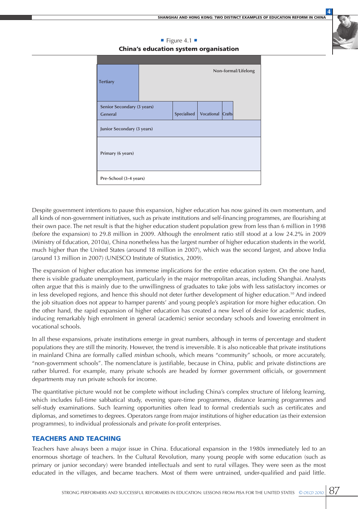| <b>China's education system organisation</b> |             |                   |                     |
|----------------------------------------------|-------------|-------------------|---------------------|
|                                              |             |                   |                     |
| <b>Tertiary</b>                              |             |                   | Non-formal/Lifelong |
| Senior Secondary (3 years)<br>General        | Specialised | Vocational Crafts |                     |
| Junior Secondary (3 years)                   |             |                   |                     |
| Primary (6 years)                            |             |                   |                     |
| Pre-School (3-4 years)                       |             |                   |                     |

*•* Figure 4.1 *•* 

Despite government intentions to pause this expansion, higher education has now gained its own momentum, and all kinds of non-government initiatives, such as private institutions and self-financing programmes, are flourishing at their own pace. The net result is that the higher education student population grew from less than 6 million in 1998 (before the expansion) to 29.8 million in 2009. Although the enrolment ratio still stood at a low 24.2% in 2009 (Ministry of Education, 2010a), China nonetheless has the largest number of higher education students in the world, much higher than the United States (around 18 million in 2007), which was the second largest, and above India (around 13 million in 2007) (UNESCO Institute of Statistics, 2009).

The expansion of higher education has immense implications for the entire education system. On the one hand, there is visible graduate unemployment, particularly in the major metropolitan areas, including Shanghai. Analysts often argue that this is mainly due to the unwillingness of graduates to take jobs with less satisfactory incomes or in less developed regions, and hence this should not deter further development of higher education.<sup>10</sup> And indeed the job situation does not appear to hamper parents' and young people's aspiration for more higher education. On the other hand, the rapid expansion of higher education has created a new level of desire for academic studies, inducing remarkably high enrolment in general (academic) senior secondary schools and lowering enrolment in vocational schools.

In all these expansions, private institutions emerge in great numbers, although in terms of percentage and student populations they are still the minority. However, the trend is irreversible. It is also noticeable that private institutions in mainland China are formally called *minban* schools, which means "community" schools, or more accurately, "non-government schools". The nomenclature is justifiable, because in China, public and private distinctions are rather blurred. For example, many private schools are headed by former government officials, or government departments may run private schools for income.

The quantitative picture would not be complete without including China's complex structure of lifelong learning, which includes full-time sabbatical study, evening spare-time programmes, distance learning programmes and self-study examinations. Such learning opportunities often lead to formal credentials such as certificates and diplomas, and sometimes to degrees. Operators range from major institutions of higher education (as their extension programmes), to individual professionals and private for-profit enterprises.

# Teachers and teaching

Teachers have always been a major issue in China. Educational expansion in the 1980s immediately led to an enormous shortage of teachers. In the Cultural Revolution, many young people with some education (such as primary or junior secondary) were branded intellectuals and sent to rural villages. They were seen as the most educated in the villages, and became teachers. Most of them were untrained, under-qualified and paid little.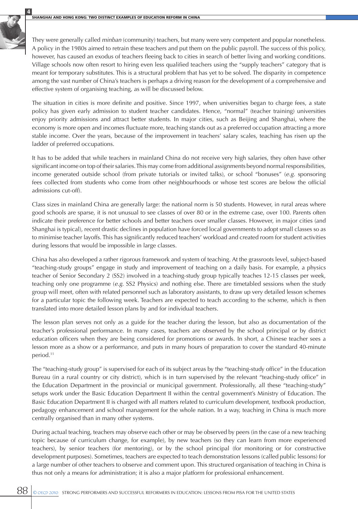They were generally called *minban* (community) teachers, but many were very competent and popular nonetheless. A policy in the 1980s aimed to retrain these teachers and put them on the public payroll. The success of this policy, however, has caused an exodus of teachers fleeing back to cities in search of better living and working conditions. Village schools now often resort to hiring even less qualified teachers using the "supply teachers" category that is meant for temporary substitutes. This is a structural problem that has yet to be solved. The disparity in competence among the vast number of China's teachers is perhaps a driving reason for the development of a comprehensive and effective system of organising teaching, as will be discussed below.

The situation in cities is more definite and positive. Since 1997, when universities began to charge fees, a state policy has given early admission to student teacher candidates. Hence, "normal" (teacher training) universities enjoy priority admissions and attract better students. In major cities, such as Beijing and Shanghai, where the economy is more open and incomes fluctuate more, teaching stands out as a preferred occupation attracting a more stable income. Over the years, because of the improvement in teachers' salary scales, teaching has risen up the ladder of preferred occupations.

It has to be added that while teachers in mainland China do not receive very high salaries, they often have other significant income on top of their salaries. This may come from additional assignments beyond normal responsibilities, income generated outside school (from private tutorials or invited talks), or school "bonuses" (*e.g*. sponsoring fees collected from students who come from other neighbourhoods or whose test scores are below the official admissions cut-off).

Class sizes in mainland China are generally large: the national norm is 50 students. However, in rural areas where good schools are sparse, it is not unusual to see classes of over 80 or in the extreme case, over 100. Parents often indicate their preference for better schools and better teachers over smaller classes. However, in major cities (and Shanghai is typical), recent drastic declines in population have forced local governments to adopt small classes so as to minimise teacher layoffs. This has significantly reduced teachers' workload and created room for student activities during lessons that would be impossible in large classes.

China has also developed a rather rigorous framework and system of teaching. At the grassroots level, subject-based "teaching-study groups" engage in study and improvement of teaching on a daily basis. For example, a physics teacher of Senior Secondary 2 (SS2) involved in a teaching-study group typically teaches 12-15 classes per week, teaching only one programme (*e.g.* SS2 Physics) and nothing else. There are timetabled sessions when the study group will meet, often with related personnel such as laboratory assistants, to draw up very detailed lesson schemes for a particular topic the following week. Teachers are expected to teach according to the scheme, which is then translated into more detailed lesson plans by and for individual teachers.

The lesson plan serves not only as a guide for the teacher during the lesson, but also as documentation of the teacher's professional performance. In many cases, teachers are observed by the school principal or by district education officers when they are being considered for promotions or awards. In short, a Chinese teacher sees a lesson more as a show or a performance, and puts in many hours of preparation to cover the standard 40-minute period.11

The "teaching-study group" is supervised for each of its subject areas by the "teaching-study office" in the Education Bureau (in a rural country or city district), which is in turn supervised by the relevant "teaching-study office" in the Education Department in the provincial or municipal government. Professionally, all these "teaching-study" setups work under the Basic Education Department II within the central government's Ministry of Education. The Basic Education Department II is charged with all matters related to curriculum development, textbook production, pedagogy enhancement and school management for the whole nation. In a way, teaching in China is much more centrally organised than in many other systems.

During actual teaching, teachers may observe each other or may be observed by peers (in the case of a new teaching topic because of curriculum change, for example), by new teachers (so they can learn from more experienced teachers), by senior teachers (for mentoring), or by the school principal (for monitoring or for constructive development purposes). Sometimes, teachers are expected to teach demonstration lessons (called public lessons) for a large number of other teachers to observe and comment upon. This structured organisation of teaching in China is thus not only a means for administration; it is also a major platform for professional enhancement.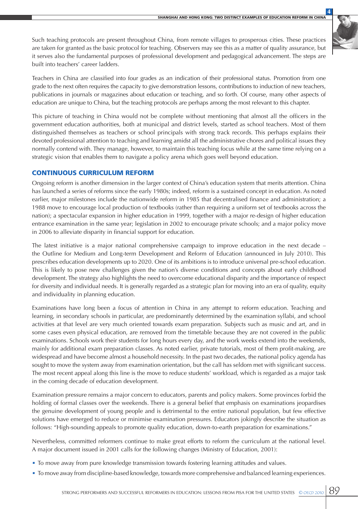Such teaching protocols are present throughout China, from remote villages to prosperous cities. These practices are taken for granted as the basic protocol for teaching. Observers may see this as a matter of quality assurance, but it serves also the fundamental purposes of professional development and pedagogical advancement. The steps are built into teachers' career ladders.

Teachers in China are classified into four grades as an indication of their professional status. Promotion from one grade to the next often requires the capacity to give demonstration lessons, contributions to induction of new teachers, publications in journals or magazines about education or teaching, and so forth. Of course, many other aspects of education are unique to China, but the teaching protocols are perhaps among the most relevant to this chapter.

This picture of teaching in China would not be complete without mentioning that almost all the officers in the government education authorities, both at municipal and district levels, started as school teachers. Most of them distinguished themselves as teachers or school principals with strong track records. This perhaps explains their devoted professional attention to teaching and learning amidst all the administrative chores and political issues they normally contend with. They manage, however, to maintain this teaching focus while at the same time relying on a strategic vision that enables them to navigate a policy arena which goes well beyond education.

#### **CONTINUOUS CURRICULUM REFORM**

Ongoing reform is another dimension in the larger context of China's education system that merits attention. China has launched a series of reforms since the early 1980s; indeed, reform is a sustained concept in education. As noted earlier, major milestones include the nationwide reform in 1985 that decentralised finance and administration; a 1988 move to encourage local production of textbooks (rather than requiring a uniform set of textbooks across the nation); a spectacular expansion in higher education in 1999, together with a major re-design of higher education entrance examination in the same year; legislation in 2002 to encourage private schools; and a major policy move in 2006 to alleviate disparity in financial support for education.

The latest initiative is a major national comprehensive campaign to improve education in the next decade – the Outline for Medium and Long-term Development and Reform of Education (announced in July 2010). This prescribes education developments up to 2020. One of its ambitions is to introduce universal pre-school education. This is likely to pose new challenges given the nation's diverse conditions and concepts about early childhood development. The strategy also highlights the need to overcome educational disparity and the importance of respect for diversity and individual needs. It is generally regarded as a strategic plan for moving into an era of quality, equity and individuality in planning education.

Examinations have long been a focus of attention in China in any attempt to reform education. Teaching and learning, in secondary schools in particular, are predominantly determined by the examination syllabi, and school activities at that level are very much oriented towards exam preparation. Subjects such as music and art, and in some cases even physical education, are removed from the timetable because they are not covered in the public examinations. Schools work their students for long hours every day, and the work weeks extend into the weekends, mainly for additional exam preparation classes. As noted earlier, private tutorials, most of them profit-making, are widespread and have become almost a household necessity. In the past two decades, the national policy agenda has sought to move the system away from examination orientation, but the call has seldom met with significant success. The most recent appeal along this line is the move to reduce students' workload, which is regarded as a major task in the coming decade of education development.

Examination pressure remains a major concern to educators, parents and policy makers. Some provinces forbid the holding of formal classes over the weekends. There is a general belief that emphasis on examinations jeopardises the genuine development of young people and is detrimental to the entire national population, but few effective solutions have emerged to reduce or minimise examination pressures. Educators jokingly describe the situation as follows: "High-sounding appeals to promote quality education, down-to-earth preparation for examinations."

Nevertheless, committed reformers continue to make great efforts to reform the curriculum at the national level. A major document issued in 2001 calls for the following changes (Ministry of Education, 2001):

- **•** To move away from pure knowledge transmission towards fostering learning attitudes and values.
- *•* To move away from discipline-based knowledge, towards more comprehensive and balanced learning experiences.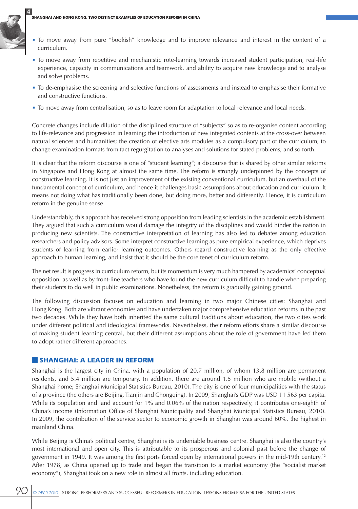- 
- To move away from pure "bookish" knowledge and to improve relevance and interest in the content of a curriculum.
- *•* To move away from repetitive and mechanistic rote-learning towards increased student participation, real-life experience, capacity in communications and teamwork, and ability to acquire new knowledge and to analyse and solve problems.
- To de-emphasise the screening and selective functions of assessments and instead to emphasise their formative and constructive functions.
- To move away from centralisation, so as to leave room for adaptation to local relevance and local needs.

Concrete changes include dilution of the disciplined structure of "subjects" so as to re-organise content according to life-relevance and progression in learning; the introduction of new integrated contents at the cross-over between natural sciences and humanities; the creation of elective arts modules as a compulsory part of the curriculum; to change examination formats from fact regurgitation to analyses and solutions for stated problems; and so forth.

It is clear that the reform discourse is one of "student learning"; a discourse that is shared by other similar reforms in Singapore and Hong Kong at almost the same time. The reform is strongly underpinned by the concepts of constructive learning. It is not just an improvement of the existing conventional curriculum, but an overhaul of the fundamental concept of curriculum, and hence it challenges basic assumptions about education and curriculum. It means not doing what has traditionally been done, but doing more, better and differently. Hence, it is curriculum reform in the genuine sense.

Understandably, this approach has received strong opposition from leading scientists in the academic establishment. They argued that such a curriculum would damage the integrity of the disciplines and would hinder the nation in producing new scientists. The constructive interpretation of learning has also led to debates among education researchers and policy advisors. Some interpret constructive learning as pure empirical experience, which deprives students of learning from earlier learning outcomes. Others regard constructive learning as the only effective approach to human learning, and insist that it should be the core tenet of curriculum reform.

The net result is progress in curriculum reform, but its momentum is very much hampered by academics' conceptual opposition, as well as by front-line teachers who have found the new curriculum difficult to handle when preparing their students to do well in public examinations. Nonetheless, the reform is gradually gaining ground.

The following discussion focuses on education and learning in two major Chinese cities: Shanghai and Hong Kong. Both are vibrant economies and have undertaken major comprehensive education reforms in the past two decades. While they have both inherited the same cultural traditions about education, the two cities work under different political and ideological frameworks. Nevertheless, their reform efforts share a similar discourse of making student learning central, but their different assumptions about the role of government have led them to adopt rather different approaches.

#### Shanghai: a leader in reform

Shanghai is the largest city in China, with a population of 20.7 million, of whom 13.8 million are permanent residents, and 5.4 million are temporary. In addition, there are around 1.5 million who are mobile (without a Shanghai home; Shanghai Municipal Statistics Bureau, 2010). The city is one of four municipalities with the status of a province (the others are Beijing, Tianjin and Chongqing). In 2009, Shanghai's GDP was USD 11 563 per capita. While its population and land account for 1% and 0.06% of the nation respectively, it contributes one-eighth of China's income (Information Office of Shanghai Municipality and Shanghai Municipal Statistics Bureau, 2010). In 2009, the contribution of the service sector to economic growth in Shanghai was around 60%, the highest in mainland China.

While Beijing is China's political centre, Shanghai is its undeniable business centre. Shanghai is also the country's most international and open city. This is attributable to its prosperous and colonial past before the change of government in 1949. It was among the first ports forced open by international powers in the mid-19th century.<sup>12</sup> After 1978, as China opened up to trade and began the transition to a market economy (the "socialist market economy"), Shanghai took on a new role in almost all fronts, including education.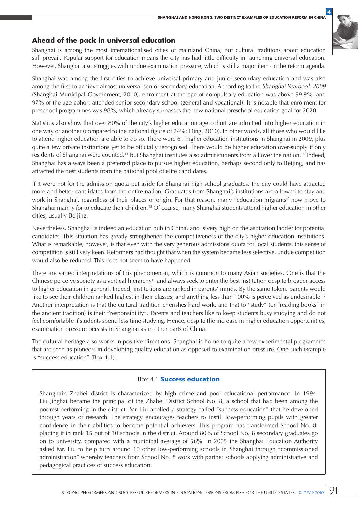# **Ahead of the pack in universal education**

Shanghai is among the most internationalised cities of mainland China, but cultural traditions about education still prevail. Popular support for education means the city has had little difficulty in launching universal education. However, Shanghai also struggles with undue examination pressure, which is still a major item on the reform agenda.

Shanghai was among the first cities to achieve universal primary and junior secondary education and was also among the first to achieve almost universal senior secondary education. According to the *Shanghai Yearbook 2009* (Shanghai Municipal Government, 2010), enrolment at the age of compulsory education was above 99.9%, and 97% of the age cohort attended senior secondary school (general and vocational). It is notable that enrolment for preschool programmes was 98%, which already surpasses the new national preschool education goal for 2020.

Statistics also show that over 80% of the city's higher education age cohort are admitted into higher education in one way or another (compared to the national figure of 24%; Ding, 2010). In other words, all those who would like to attend higher education are able to do so. There were 61 higher education institutions in Shanghai in 2009, plus quite a few private institutions yet to be officially recognised. There would be higher education over-supply if only residents of Shanghai were counted,<sup>13</sup> but Shanghai institutes also admit students from all over the nation.<sup>14</sup> Indeed, Shanghai has always been a preferred place to pursue higher education, perhaps second only to Beijing, and has attracted the best students from the national pool of elite candidates.

If it were not for the admission quota put aside for Shanghai high school graduates, the city could have attracted more and better candidates from the entire nation. Graduates from Shanghai's institutions are allowed to stay and work in Shanghai, regardless of their places of origin. For that reason, many "education migrants" now move to Shanghai mainly for to educate their children.<sup>15</sup> Of course, many Shanghai students attend higher education in other cities, usually Beijing.

Nevertheless, Shanghai is indeed an education hub in China, and is very high on the aspiration ladder for potential candidates. This situation has greatly strengthened the competitiveness of the city's higher education institutions. What is remarkable, however, is that even with the very generous admissions quota for local students, this sense of competition is still very keen. Reformers had thought that when the system became less selective, undue competition would also be reduced. This does not seem to have happened.

There are varied interpretations of this phenomenon, which is common to many Asian societies. One is that the Chinese perceive society as a vertical hierarchy<sup>16</sup> and always seek to enter the best institution despite broader access to higher education in general. Indeed, institutions are ranked in parents' minds. By the same token, parents would like to see their children ranked highest in their classes, and anything less than 100% is perceived as undesirable.<sup>17</sup> Another interpretation is that the cultural tradition cherishes hard work, and that to "study" (or "reading books" in the ancient tradition) is their "responsibility". Parents and teachers like to keep students busy studying and do not feel comfortable if students spend less time studying. Hence, despite the increase in higher education opportunities, examination pressure persists in Shanghai as in other parts of China.

The cultural heritage also works in positive directions. Shanghai is home to quite a few experimental programmes that are seen as pioneers in developing quality education as opposed to examination pressure. One such example is "success education" (Box 4.1).

#### Box 4.1 Success education

Shanghai's Zhabei district is characterized by high crime and poor educational performance. In 1994, Liu Jinghai became the principal of the Zhabei District School No. 8, a school that had been among the poorest-performing in the district. Mr. Liu applied a strategy called "success education" that he developed through years of research. The strategy encourages teachers to instill low-performing pupils with greater confidence in their abilities to become potential achievers. This program has transformed School No. 8, placing it in rank 15 out of 30 schools in the district. Around 80% of School No. 8 secondary graduates go on to university, compared with a municipal average of 56%. In 2005 the Shanghai Education Authority asked Mr. Liu to help turn around 10 other low-performing schools in Shanghai through "commissioned administration" whereby teachers from School No. 8 work with partner schools applying administrative and pedagogical practices of success education.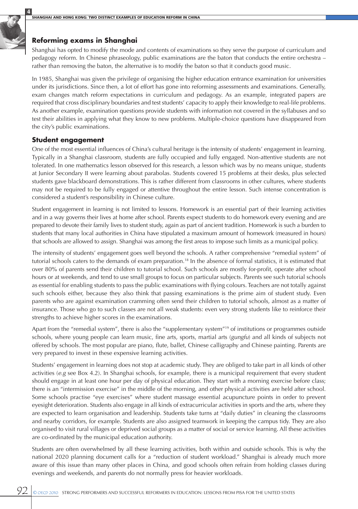# **Reforming exams in Shanghai**

Shanghai has opted to modify the mode and contents of examinations so they serve the purpose of curriculum and pedagogy reform. In Chinese phraseology, public examinations are the baton that conducts the entire orchestra – rather than removing the baton, the alternative is to modify the baton so that it conducts good music.

In 1985, Shanghai was given the privilege of organising the higher education entrance examination for universities under its jurisdictions. Since then, a lot of effort has gone into reforming assessments and examinations. Generally, exam changes match reform expectations in curriculum and pedagogy. As an example, integrated papers are required that cross disciplinary boundaries and test students' capacity to apply their knowledge to real-life problems. As another example, examination questions provide students with information not covered in the syllabuses and so test their abilities in applying what they know to new problems. Multiple-choice questions have disappeared from the city's public examinations.

### **Student engagement**

One of the most essential influences of China's cultural heritage is the intensity of students' engagement in learning. Typically in a Shanghai classroom, students are fully occupied and fully engaged. Non-attentive students are not tolerated. In one mathematics lesson observed for this research, a lesson which was by no means unique, students at Junior Secondary II were learning about parabolas. Students covered 15 problems at their desks, plus selected students gave blackboard demonstrations. This is rather different from classrooms in other cultures, where students may not be required to be fully engaged or attentive throughout the entire lesson. Such intense concentration is considered a student's responsibility in Chinese culture.

Student engagement in learning is not limited to lessons. Homework is an essential part of their learning activities and in a way governs their lives at home after school. Parents expect students to do homework every evening and are prepared to devote their family lives to student study, again as part of ancient tradition. Homework is such a burden to students that many local authorities in China have stipulated a maximum amount of homework (measured in hours) that schools are allowed to assign. Shanghai was among the first areas to impose such limits as a municipal policy.

The intensity of students' engagement goes well beyond the schools. A rather comprehensive "remedial system" of tutorial schools caters to the demands of exam preparation.18 In the absence of formal statistics, it is estimated that over 80% of parents send their children to tutorial school. Such schools are mostly for-profit, operate after school hours or at weekends, and tend to use small groups to focus on particular subjects. Parents see such tutorial schools as essential for enabling students to pass the public examinations with flying colours. Teachers are not totally against such schools either, because they also think that passing examinations is the prime aim of student study. Even parents who are against examination cramming often send their children to tutorial schools, almost as a matter of insurance. Those who go to such classes are not all weak students: even very strong students like to reinforce their strengths to achieve higher scores in the examinations.

Apart from the "remedial system", there is also the "supplementary system"<sup>19</sup> of institutions or programmes outside schools, where young people can learn music, fine arts, sports, martial arts (*gungfu*) and all kinds of subjects not offered by schools. The most popular are piano, flute, ballet, Chinese calligraphy and Chinese painting. Parents are very prepared to invest in these expensive learning activities.

Students' engagement in learning does not stop at academic study. They are obliged to take part in all kinds of other activities (*e.g* see Box 4.2). In Shanghai schools, for example, there is a municipal requirement that every student should engage in at least one hour per day of physical education. They start with a morning exercise before class; there is an "intermission exercise" in the middle of the morning, and other physical activities are held after school. Some schools practise "eye exercises" where student massage essential acupuncture points in order to prevent eyesight deterioration. Students also engage in all kinds of extracurricular activities in sports and the arts, where they are expected to learn organisation and leadership. Students take turns at "daily duties" in cleaning the classrooms and nearby corridors, for example. Students are also assigned teamwork in keeping the campus tidy. They are also organised to visit rural villages or deprived social groups as a matter of social or service learning. All these activities are co-ordinated by the municipal education authority.

Students are often overwhelmed by all these learning activities, both within and outside schools. This is why the national 2020 planning document calls for a "reduction of student workload." Shanghai is already much more aware of this issue than many other places in China, and good schools often refrain from holding classes during evenings and weekends, and parents do not normally press for heavier workloads.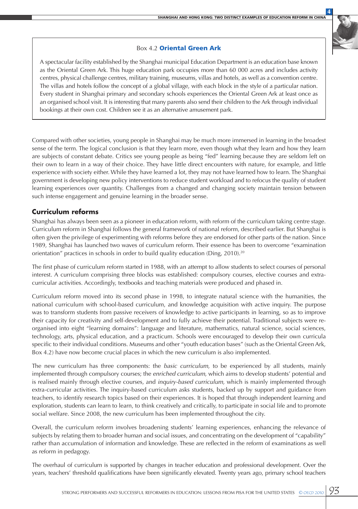#### Box 4.2 Oriental Green Ark

A spectacular facility established by the Shanghai municipal Education Department is an education base known as the Oriental Green Ark. This huge education park occupies more than 60 000 acres and includes activity centres, physical challenge centres, military training, museums, villas and hotels, as well as a convention centre. The villas and hotels follow the concept of a global village, with each block in the style of a particular nation. Every student in Shanghai primary and secondary schools experiences the Oriental Green Ark at least once as an organised school visit. It is interesting that many parents also send their children to the Ark through individual bookings at their own cost. Children see it as an alternative amusement park.

Compared with other societies, young people in Shanghai may be much more immersed in learning in the broadest sense of the term. The logical conclusion is that they learn more, even though what they learn and how they learn are subjects of constant debate. Critics see young people as being "fed" learning because they are seldom left on their own to learn in a way of their choice. They have little direct encounters with nature, for example, and little experience with society either. While they have learned a lot, they may not have learned how to learn. The Shanghai government is developing new policy interventions to reduce student workload and to refocus the quality of student learning experiences over quantity. Challenges from a changed and changing society maintain tension between such intense engagement and genuine learning in the broader sense.

# **Curriculum reforms**

Shanghai has always been seen as a pioneer in education reform, with reform of the curriculum taking centre stage. Curriculum reform in Shanghai follows the general framework of national reform, described earlier. But Shanghai is often given the privilege of experimenting with reforms before they are endorsed for other parts of the nation. Since 1989, Shanghai has launched two waves of curriculum reform. Their essence has been to overcome "examination orientation" practices in schools in order to build quality education (Ding, 2010).<sup>20</sup>

The first phase of curriculum reform started in 1988, with an attempt to allow students to select courses of personal interest. A curriculum comprising three blocks was established: compulsory courses, elective courses and extracurricular activities. Accordingly, textbooks and teaching materials were produced and phased in.

Curriculum reform moved into its second phase in 1998, to integrate natural science with the humanities, the national curriculum with school-based curriculum, and knowledge acquisition with active inquiry. The purpose was to transform students from passive receivers of knowledge to active participants in learning, so as to improve their capacity for creativity and self-development and to fully achieve their potential. Traditional subjects were reorganised into eight "learning domains": language and literature, mathematics, natural science, social sciences, technology, arts, physical education, and a practicum. Schools were encouraged to develop their own curricula specific to their individual conditions. Museums and other "youth education bases" (such as the Oriental Green Ark, Box 4.2) have now become crucial places in which the new curriculum is also implemented.

The new curriculum has three components: the *basic curriculum*, to be experienced by all students, mainly implemented through compulsory courses; the *enriched curriculum*, which aims to develop students' potential and is realised mainly through elective courses, and *inquiry-based curriculum,* which is mainly implemented through extra-curricular activities. The inquiry-based curriculum asks students, backed up by support and guidance from teachers, to identify research topics based on their experiences. It is hoped that through independent learning and exploration, students can learn to learn, to think creatively and critically, to participate in social life and to promote social welfare. Since 2008, the new curriculum has been implemented throughout the city.

Overall, the curriculum reform involves broadening students' learning experiences, enhancing the relevance of subjects by relating them to broader human and social issues, and concentrating on the development of "capability" rather than accumulation of information and knowledge. These are reflected in the reform of examinations as well as reform in pedagogy.

The overhaul of curriculum is supported by changes in teacher education and professional development. Over the years, teachers' threshold qualifications have been significantly elevated. Twenty years ago, primary school teachers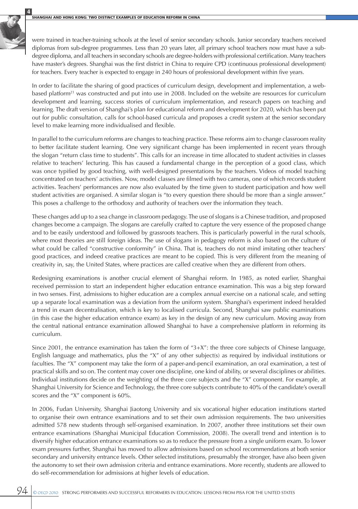were trained in teacher-training schools at the level of senior secondary schools. Junior secondary teachers received diplomas from sub-degree programmes. Less than 20 years later, all primary school teachers now must have a subdegree diploma, and all teachers in secondary schools are degree-holders with professional certification. Many teachers have master's degrees. Shanghai was the first district in China to require CPD (continuous professional development) for teachers. Every teacher is expected to engage in 240 hours of professional development within five years.

In order to facilitate the sharing of good practices of curriculum design, development and implementation, a webbased platform<sup>21</sup> was constructed and put into use in 2008. Included on the website are resources for curriculum development and learning, success stories of curriculum implementation, and research papers on teaching and learning. The draft version of Shanghai's plan for educational reform and development for 2020, which has been put out for public consultation, calls for school-based curricula and proposes a credit system at the senior secondary level to make learning more individualised and flexible.

In parallel to the curriculum reforms are changes to teaching practice. These reforms aim to change classroom reality to better facilitate student learning. One very significant change has been implemented in recent years through the slogan "return class time to students". This calls for an increase in time allocated to student activities in classes relative to teachers' lecturing. This has caused a fundamental change in the perception of a good class, which was once typified by good teaching, with well-designed presentations by the teachers. Videos of model teaching concentrated on teachers' activities. Now, model classes are filmed with two cameras, one of which records student activities. Teachers' performances are now also evaluated by the time given to student participation and how well student activities are organised. A similar slogan is "to every question there should be more than a single answer." This poses a challenge to the orthodoxy and authority of teachers over the information they teach.

These changes add up to a sea change in classroom pedagogy. The use of slogans is a Chinese tradition, and proposed changes become a campaign. The slogans are carefully crafted to capture the very essence of the proposed change and to be easily understood and followed by grassroots teachers. This is particularly powerful in the rural schools, where most theories are still foreign ideas. The use of slogans in pedagogy reform is also based on the culture of what could be called "constructive conformity" in China. That is, teachers do not mind imitating other teachers' good practices, and indeed creative practices are meant to be copied. This is very different from the meaning of creativity in, say, the United States, where practices are called creative when they are different from others.

Redesigning examinations is another crucial element of Shanghai reform. In 1985, as noted earlier, Shanghai received permission to start an independent higher education entrance examination. This was a big step forward in two senses. First, admissions to higher education are a complex annual exercise on a national scale, and setting up a separate local examination was a deviation from the uniform system. Shanghai's experiment indeed heralded a trend in exam decentralisation, which is key to localised curricula. Second, Shanghai saw public examinations (in this case the higher education entrance exam) as key in the design of any new curriculum. Moving away from the central national entrance examination allowed Shanghai to have a comprehensive platform in reforming its curriculum.

Since 2001, the entrance examination has taken the form of "3+X": the three core subjects of Chinese language, English language and mathematics, plus the "X" of any other subject(s) as required by individual institutions or faculties. The "X" component may take the form of a paper-and-pencil examination, an oral examination, a test of practical skills and so on. The content may cover one discipline, one kind of ability, or several disciplines or abilities. Individual institutions decide on the weighting of the three core subjects and the "X" component. For example, at Shanghai University for Science and Technology, the three core subjects contribute to 40% of the candidate's overall scores and the "X" component is 60%.

In 2006, Fudan University, Shanghai Jiaotong University and six vocational higher education institutions started to organise their own entrance examinations and to set their own admission requirements. The two universities admitted 578 new students through self-organised examination. In 2007, another three institutions set their own entrance examinations (Shanghai Municipal Education Commission, 2008). The overall trend and intention is to diversify higher education entrance examinations so as to reduce the pressure from a single uniform exam. To lower exam pressures further, Shanghai has moved to allow admissions based on school recommendations at both senior secondary and university entrance levels. Other selected institutions, presumably the stronger, have also been given the autonomy to set their own admission criteria and entrance examinations. More recently, students are allowed to do self-recommendation for admissions at higher levels of education.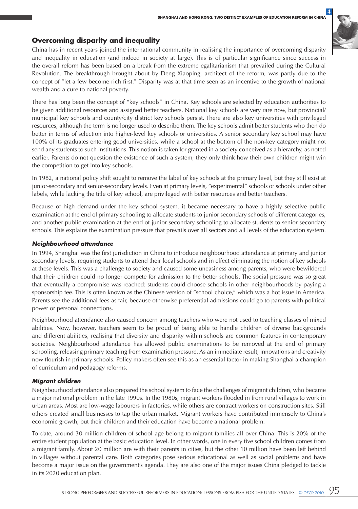#### **Overcoming disparity and inequality**

China has in recent years joined the international community in realising the importance of overcoming disparity and inequality in education (and indeed in society at large). This is of particular significance since success in the overall reform has been based on a break from the extreme egalitarianism that prevailed during the Cultural Revolution. The breakthrough brought about by Deng Xiaoping, architect of the reform, was partly due to the concept of "let a few become rich first." Disparity was at that time seen as an incentive to the growth of national wealth and a cure to national poverty.

There has long been the concept of "key schools" in China. Key schools are selected by education authorities to be given additional resources and assigned better teachers. National key schools are very rare now, but provincial/ municipal key schools and county/city district key schools persist. There are also key universities with privileged resources, although the term is no longer used to describe them. The key schools admit better students who then do better in terms of selection into higher-level key schools or universities. A senior secondary key school may have 100% of its graduates entering good universities, while a school at the bottom of the non-key category might not send any students to such institutions. This notion is taken for granted in a society conceived as a hierarchy, as noted earlier. Parents do not question the existence of such a system; they only think how their own children might win the competition to get into key schools.

In 1982, a national policy shift sought to remove the label of key schools at the primary level, but they still exist at junior-secondary and senior-secondary levels. Even at primary levels, "experimental" schools or schools under other labels, while lacking the title of key school, are privileged with better resources and better teachers.

Because of high demand under the key school system, it became necessary to have a highly selective public examination at the end of primary schooling to allocate students to junior secondary schools of different categories, and another public examination at the end of junior secondary schooling to allocate students to senior secondary schools. This explains the examination pressure that prevails over all sectors and all levels of the education system.

#### *Neighbourhood attendance*

In 1994, Shanghai was the first jurisdiction in China to introduce neighbourhood attendance at primary and junior secondary levels, requiring students to attend their local schools and in effect eliminating the notion of key schools at these levels. This was a challenge to society and caused some uneasiness among parents, who were bewildered that their children could no longer compete for admission to the better schools. The social pressure was so great that eventually a compromise was reached: students could choose schools in other neighbourhoods by paying a sponsorship fee. This is often known as the Chinese version of "school choice," which was a hot issue in America. Parents see the additional fees as fair, because otherwise preferential admissions could go to parents with political power or personal connections.

Neighbourhood attendance also caused concern among teachers who were not used to teaching classes of mixed abilities. Now, however, teachers seem to be proud of being able to handle children of diverse backgrounds and different abilities, realising that diversity and disparity within schools are common features in contemporary societies. Neighbourhood attendance has allowed public examinations to be removed at the end of primary schooling, releasing primary teaching from examination pressure. As an immediate result, innovations and creativity now flourish in primary schools. Policy makers often see this as an essential factor in making Shanghai a champion of curriculum and pedagogy reforms.

#### *Migrant children*

Neighbourhood attendance also prepared the school system to face the challenges of migrant children, who became a major national problem in the late 1990s. In the 1980s, migrant workers flooded in from rural villages to work in urban areas. Most are low-wage labourers in factories, while others are contract workers on construction sites. Still others created small businesses to tap the urban market. Migrant workers have contributed immensely to China's economic growth, but their children and their education have become a national problem.

To date, around 30 million children of school age belong to migrant families all over China. This is 20% of the entire student population at the basic education level. In other words, one in every five school children comes from a migrant family. About 20 million are with their parents in cities, but the other 10 million have been left behind in villages without parental care. Both categories pose serious educational as well as social problems and have become a major issue on the government's agenda. They are also one of the major issues China pledged to tackle in its 2020 education plan.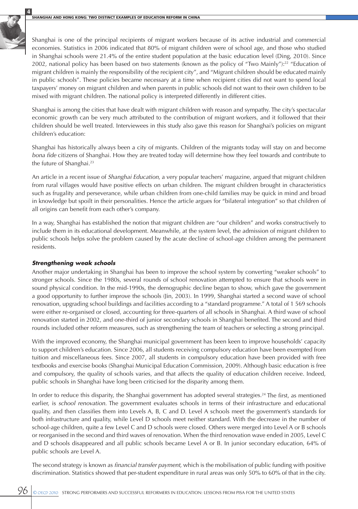Shanghai is one of the principal recipients of migrant workers because of its active industrial and commercial economies. Statistics in 2006 indicated that 80% of migrant children were of school age, and those who studied in Shanghai schools were 21.4% of the entire student population at the basic education level (Ding, 2010). Since 2002, national policy has been based on two statements (known as the policy of "Two Mainly"):22 "Education of migrant children is mainly the responsibility of the recipient city", and "Migrant children should be educated mainly in public schools". These policies became necessary at a time when recipient cities did not want to spend local taxpayers' money on migrant children and when parents in public schools did not want to their own children to be mixed with migrant children. The national policy is interpreted differently in different cities.

Shanghai is among the cities that have dealt with migrant children with reason and sympathy. The city's spectacular economic growth can be very much attributed to the contribution of migrant workers, and it followed that their children should be well treated. Interviewees in this study also gave this reason for Shanghai's policies on migrant children's education:

Shanghai has historically always been a city of migrants. Children of the migrants today will stay on and become *bona fide* citizens of Shanghai. How they are treated today will determine how they feel towards and contribute to the future of Shanghai.<sup>23</sup>

An article in a recent issue of *Shanghai Education*, a very popular teachers' magazine, argued that migrant children from rural villages would have positive effects on urban children. The migrant children brought in characteristics such as frugality and perseverance, while urban children from one-child families may be quick in mind and broad in knowledge but spoilt in their personalities. Hence the article argues for "bilateral integration" so that children of all origins can benefit from each other's company.

In a way, Shanghai has established the notion that migrant children are "our children" and works constructively to include them in its educational development. Meanwhile, at the system level, the admission of migrant children to public schools helps solve the problem caused by the acute decline of school-age children among the permanent residents.

#### *Strengthening weak schools*

Another major undertaking in Shanghai has been to improve the school system by converting "weaker schools" to stronger schools. Since the 1980s, several rounds of school renovation attempted to ensure that schools were in sound physical condition. In the mid-1990s, the demographic decline began to show, which gave the government a good opportunity to further improve the schools (Jin, 2003). In 1999, Shanghai started a second wave of school renovation, upgrading school buildings and facilities according to a "standard programme." A total of 1 569 schools were either re-organised or closed, accounting for three-quarters of all schools in Shanghai. A third wave of school renovation started in 2002, and one-third of junior secondary schools in Shanghai benefited. The second and third rounds included other reform measures, such as strengthening the team of teachers or selecting a strong principal.

With the improved economy, the Shanghai municipal government has been keen to improve households' capacity to support children's education. Since 2006, all students receiving compulsory education have been exempted from tuition and miscellaneous fees. Since 2007, all students in compulsory education have been provided with free textbooks and exercise books (Shanghai Municipal Education Commission, 2009). Although basic education is free and compulsory, the quality of schools varies, and that affects the quality of education children receive. Indeed, public schools in Shanghai have long been criticised for the disparity among them.

In order to reduce this disparity, the Shanghai government has adopted several strategies.24 The first, as mentioned earlier, is *school renovation*. The government evaluates schools in terms of their infrastructure and educational quality, and then classifies them into Levels A, B, C and D. Level A schools meet the government's standards for both infrastructure and quality, while Level D schools meet neither standard. With the decrease in the number of school-age children, quite a few Level C and D schools were closed. Others were merged into Level A or B schools or reorganised in the second and third waves of renovation. When the third renovation wave ended in 2005, Level C and D schools disappeared and all public schools became Level A or B. In junior secondary education, 64% of public schools are Level A.

The second strategy is known as *financial transfer payment*, which is the mobilisation of public funding with positive discrimination. Statistics showed that per-student expenditure in rural areas was only 50% to 60% of that in the city.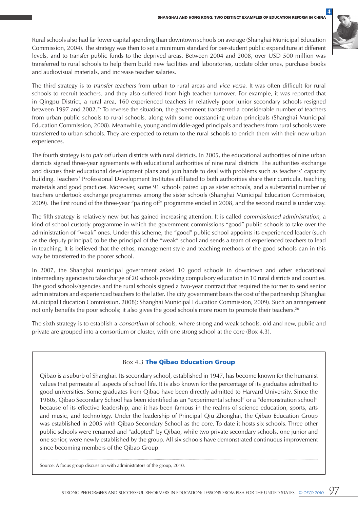Rural schools also had far lower capital spending than downtown schools on average (Shanghai Municipal Education Commission, 2004). The strategy was then to set a minimum standard for per-student public expenditure at different levels, and to transfer public funds to the deprived areas. Between 2004 and 2008, over USD 500 million was transferred to rural schools to help them build new facilities and laboratories, update older ones, purchase books and audiovisual materials, and increase teacher salaries.

The third strategy is to *transfer teachers* from urban to rural areas and *vice versa*. It was often difficult for rural schools to recruit teachers, and they also suffered from high teacher turnover. For example, it was reported that in Qingpu District, a rural area, 160 experienced teachers in relatively poor junior secondary schools resigned between 1997 and 2002.<sup>25</sup> To reverse the situation, the government transferred a considerable number of teachers from urban public schools to rural schools, along with some outstanding urban principals (Shanghai Municipal Education Commission, 2008). Meanwhile, young and middle-aged principals and teachers from rural schools were transferred to urban schools. They are expected to return to the rural schools to enrich them with their new urban experiences.

The fourth strategy is to *pair off* urban districts with rural districts. In 2005, the educational authorities of nine urban districts signed three-year agreements with educational authorities of nine rural districts. The authorities exchange and discuss their educational development plans and join hands to deal with problems such as teachers' capacity building. Teachers' Professional Development Institutes affiliated to both authorities share their curricula, teaching materials and good practices. Moreover, some 91 schools paired up as sister schools, and a substantial number of teachers undertook exchange programmes among the sister schools (Shanghai Municipal Education Commission, 2009). The first round of the three-year "pairing off" programme ended in 2008, and the second round is under way.

The fifth strategy is relatively new but has gained increasing attention. It is called *commissioned administration*, a kind of school custody programme in which the government commissions "good" public schools to take over the administration of "weak" ones. Under this scheme, the "good" public school appoints its experienced leader (such as the deputy principal) to be the principal of the "weak" school and sends a team of experienced teachers to lead in teaching. It is believed that the ethos, management style and teaching methods of the good schools can in this way be transferred to the poorer school.

In 2007, the Shanghai municipal government asked 10 good schools in downtown and other educational intermediary agencies to take charge of 20 schools providing compulsory education in 10 rural districts and counties. The good schools/agencies and the rural schools signed a two-year contract that required the former to send senior administrators and experienced teachers to the latter. The city government bears the cost of the partnership (Shanghai Municipal Education Commission, 2008); Shanghai Municipal Education Commission, 2009). Such an arrangement not only benefits the poor schools; it also gives the good schools more room to promote their teachers.<sup>26</sup>

The sixth strategy is to establish a *consortium* of schools, where strong and weak schools, old and new, public and private are grouped into a consortium or cluster, with one strong school at the core (Box 4.3).

#### Box 4.3 The Qibao Education Group

Qibao is a suburb of Shanghai. Its secondary school, established in 1947, has become known for the humanist values that permeate all aspects of school life. It is also known for the percentage of its graduates admitted to good universities. Some graduates from Qibao have been directly admitted to Harvard University. Since the 1960s, Qibao Secondary School has been identified as an "experimental school" or a "demonstration school" because of its effective leadership, and it has been famous in the realms of science education, sports, arts and music, and technology. Under the leadership of Principal Qiu Zhonghai, the Qibao Education Group was established in 2005 with Qibao Secondary School as the core. To date it hosts six schools. Three other public schools were renamed and "adopted" by Qibao, while two private secondary schools, one junior and one senior, were newly established by the group. All six schools have demonstrated continuous improvement since becoming members of the Qibao Group.

Source: A focus group discussion with administrators of the group, 2010.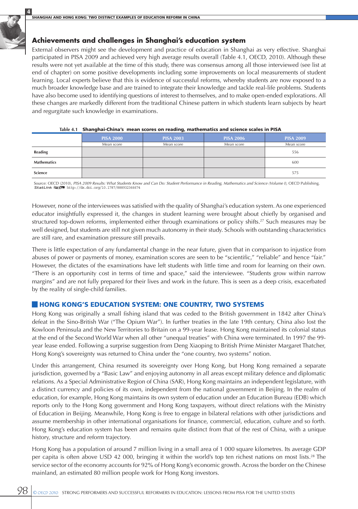## **Achievements and challenges in Shanghai's education system**

External observers might see the development and practice of education in Shanghai as very effective. Shanghai participated in PISA 2009 and achieved very high average results overall (Table 4.1, OECD, 2010). Although these results were not yet available at the time of this study, there was consensus among all those interviewed (see list at end of chapter) on some positive developments including some improvements on local measurements of student learning. Local experts believe that this is evidence of successful reforms, whereby students are now exposed to a much broader knowledge base and are trained to integrate their knowledge and tackle real-life problems. Students have also become used to identifying questions of interest to themselves, and to make open-ended explorations. All these changes are markedly different from the traditional Chinese pattern in which students learn subjects by heart and regurgitate such knowledge in examinations.

|                    | <b>PISA 2000</b> | <b>PISA 2003</b> | <b>PISA 2006</b> | <b>PISA 2009</b> |
|--------------------|------------------|------------------|------------------|------------------|
|                    | Mean score       | Mean score       | Mean score       | Mean score       |
| Reading            |                  |                  |                  | 556              |
| <b>Mathematics</b> |                  |                  |                  | 600              |
| Science            |                  |                  |                  | 575              |

#### **Table 4.1** Shanghai-China's mean scores on reading, mathematics and science scales in PISA

Source: OECD (2010), *PISA 2009 Results: What Students Know and Can Do: Student Performance in Reading, Mathematics and Science (Volume I), OECD Publishing.* Source: OECD (2010), *PISA 2009 Results: What Students Knov*<br>StatLink *看信*国 http://dx.doi.org/10.1787/888932366674

However, none of the interviewees was satisfied with the quality of Shanghai's education system. As one experienced educator insightfully expressed it, the changes in student learning were brought about chiefly by organised and structured top-down reforms, implemented either through examinations or policy shifts.27 Such measures may be well designed, but students are still not given much autonomy in their study. Schools with outstanding characteristics are still rare, and examination pressure still prevails.

There is little expectation of any fundamental change in the near future, given that in comparison to injustice from abuses of power or payments of money, examination scores are seen to be "scientific," "reliable" and hence "fair." However, the dictates of the examinations have left students with little time and room for learning on their own. "There is an opportunity cost in terms of time and space," said the interviewee. "Students grow within narrow margins" and are not fully prepared for their lives and work in the future. This is seen as a deep crisis, exacerbated by the reality of single-child families.

#### **HONG KONG'S EDUCATION SYSTEM: ONE COUNTRY, TWO SYSTEMS**

Hong Kong was originally a small fishing island that was ceded to the British government in 1842 after China's defeat in the Sino-British War ("The Opium War"). In further treaties in the late 19th century, China also lost the Kowloon Peninsula and the New Territories to Britain on a 99-year lease. Hong Kong maintained its colonial status at the end of the Second World War when all other "unequal treaties" with China were terminated. In 1997 the 99 year lease ended. Following a surprise suggestion from Deng Xiaoping to British Prime Minister Margaret Thatcher, Hong Kong's sovereignty was returned to China under the "one country, two systems" notion.

Under this arrangement, China resumed its sovereignty over Hong Kong, but Hong Kong remained a separate jurisdiction, governed by a "Basic Law" and enjoying autonomy in all areas except military defence and diplomatic relations. As a Special Administrative Region of China (SAR), Hong Kong maintains an independent legislature, with a distinct currency and policies of its own, independent from the national government in Beijing. In the realm of education, for example, Hong Kong maintains its own system of education under an Education Bureau (EDB) which reports only to the Hong Kong government and Hong Kong taxpayers, without direct relations with the Ministry of Education in Beijing. Meanwhile, Hong Kong is free to engage in bilateral relations with other jurisdictions and assume membership in other international organisations for finance, commercial, education, culture and so forth. Hong Kong's education system has been and remains quite distinct from that of the rest of China, with a unique history, structure and reform trajectory.

Hong Kong has a population of around 7 million living in a small area of 1 000 square kilometres. Its average GDP per capita is often above USD 42 000, bringing it within the world's top ten richest nations on most lists.<sup>28</sup> The service sector of the economy accounts for 92% of Hong Kong's economic growth. Across the border on the Chinese mainland, an estimated 80 million people work for Hong Kong investors.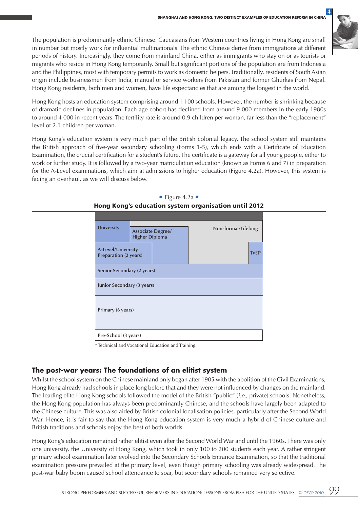The population is predominantly ethnic Chinese. Caucasians from Western countries living in Hong Kong are small in number but mostly work for influential multinationals. The ethnic Chinese derive from immigrations at different periods of history. Increasingly, they come from mainland China, either as immigrants who stay on or as tourists or migrants who reside in Hong Kong temporarily. Small but significant portions of the population are from Indonesia and the Philippines, most with temporary permits to work as domestic helpers. Traditionally, residents of South Asian origin include businessmen from India, manual or service workers from Pakistan and former Ghurkas from Nepal. Hong Kong residents, both men and women, have life expectancies that are among the longest in the world.

Hong Kong hosts an education system comprising around 1 100 schools. However, the number is shrinking because of dramatic declines in population. Each age cohort has declined from around 9 000 members in the early 1980s to around 4 000 in recent years. The fertility rate is around 0.9 children per woman, far less than the "replacement" level of 2.1 children per woman.

Hong Kong's education system is very much part of the British colonial legacy. The school system still maintains the British approach of five-year secondary schooling (Forms 1-5), which ends with a Certificate of Education Examination, the crucial certification for a student's future. The certificate is a gateway for all young people, either to work or further study. It is followed by a two-year matriculation education (known as Forms 6 and 7) in preparation for the A-Level examinations, which aim at admissions to higher education (Figure 4.2a). However, this system is facing an overhaul, as we will discuss below.



#### *•* Figure 4.2a *•*

# Hong Kong's education system organisation until 2012

\* Technical and Vocational Education and Training.

# **The post-war years: The foundations of an elitist system**

Whilst the school system on the Chinese mainland only began after 1905 with the abolition of the Civil Examinations, Hong Kong already had schools in place long before that and they were not influenced by changes on the mainland. The leading elite Hong Kong schools followed the model of the British "public" (*i.e.*, private) schools. Nonetheless, the Hong Kong population has always been predominantly Chinese, and the schools have largely been adapted to the Chinese culture. This was also aided by British colonial localisation policies, particularly after the Second World War. Hence, it is fair to say that the Hong Kong education system is very much a hybrid of Chinese culture and British traditions and schools enjoy the best of both worlds.

Hong Kong's education remained rather elitist even after the Second World War and until the 1960s. There was only one university, the University of Hong Kong, which took in only 100 to 200 students each year. A rather stringent primary school examination later evolved into the Secondary Schools Entrance Examination, so that the traditional examination pressure prevailed at the primary level, even though primary schooling was already widespread. The post-war baby boom caused school attendance to soar, but secondary schools remained very selective.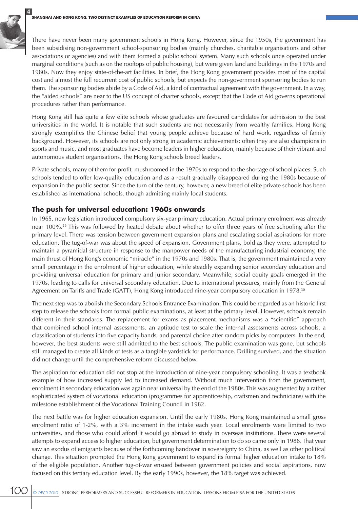There have never been many government schools in Hong Kong. However, since the 1950s, the government has been subsidising non-government school-sponsoring bodies (mainly churches, charitable organisations and other associations or agencies) and with them formed a public school system. Many such schools once operated under marginal conditions (such as on the rooftops of public housing), but were given land and buildings in the 1970s and 1980s. Now they enjoy state-of-the-art facilities. In brief, the Hong Kong government provides most of the capital cost and almost the full recurrent cost of public schools, but expects the non-government sponsoring bodies to run them. The sponsoring bodies abide by a Code of Aid, a kind of contractual agreement with the government. In a way, the "aided schools" are near to the US concept of charter schools, except that the Code of Aid governs operational procedures rather than performance.

Hong Kong still has quite a few elite schools whose graduates are favoured candidates for admission to the best universities in the world. It is notable that such students are not necessarily from wealthy families. Hong Kong strongly exemplifies the Chinese belief that young people achieve because of hard work, regardless of family background. However, its schools are not only strong in academic achievements; often they are also champions in sports and music, and most graduates have become leaders in higher education, mainly because of their vibrant and autonomous student organisations. The Hong Kong schools breed leaders.

Private schools, many of them for-profit, mushroomed in the 1970s to respond to the shortage of school places. Such schools tended to offer low-quality education and as a result gradually disappeared during the 1980s because of expansion in the public sector. Since the turn of the century, however, a new breed of elite private schools has been established as international schools, though admitting mainly local students.

#### **The push for universal education: 1960s onwards**

In 1965, new legislation introduced compulsory six-year primary education. Actual primary enrolment was already near 100%.29 This was followed by heated debate about whether to offer three years of free schooling after the primary level. There was tension between government expansion plans and escalating social aspirations for more education. The tug-of-war was about the speed of expansion. Government plans, bold as they were, attempted to maintain a pyramidal structure in response to the manpower needs of the manufacturing industrial economy, the main thrust of Hong Kong's economic "miracle" in the 1970s and 1980s. That is, the government maintained a very small percentage in the enrolment of higher education, while steadily expanding senior secondary education and providing universal education for primary and junior secondary. Meanwhile, social equity goals emerged in the 1970s, leading to calls for universal secondary education. Due to international pressures, mainly from the General Agreement on Tariffs and Trade (GATT), Hong Kong introduced nine-year compulsory education in 1978.<sup>30</sup>

The next step was to abolish the Secondary Schools Entrance Examination. This could be regarded as an historic first step to release the schools from formal public examinations, at least at the primary level. However, schools remain different in their standards. The replacement for exams as placement mechanisms was a "scientific" approach that combined school internal assessments, an aptitude test to scale the internal assessments across schools, a classification of students into five capacity bands, and parental choice after random picks by computers. In the end, however, the best students were still admitted to the best schools. The public examination was gone, but schools still managed to create all kinds of tests as a tangible yardstick for performance. Drilling survived, and the situation did not change until the comprehensive reform discussed below.

The aspiration for education did not stop at the introduction of nine-year compulsory schooling. It was a textbook example of how increased supply led to increased demand. Without much intervention from the government, enrolment in secondary education was again near universal by the end of the 1980s. This was augmented by a rather sophisticated system of vocational education (programmes for apprenticeship, craftsmen and technicians) with the milestone establishment of the Vocational Training Council in 1982.

The next battle was for higher education expansion. Until the early 1980s, Hong Kong maintained a small gross enrolment ratio of 1-2%, with a 3% increment in the intake each year. Local enrolments were limited to two universities, and those who could afford it would go abroad to study in overseas institutions. There were several attempts to expand access to higher education, but government determination to do so came only in 1988. That year saw an exodus of emigrants because of the forthcoming handover in sovereignty to China, as well as other political change. This situation prompted the Hong Kong government to expand its formal higher education intake to 18% of the eligible population. Another tug-of-war ensued between government policies and social aspirations, now focused on this tertiary education level. By the early 1990s, however, the 18% target was achieved.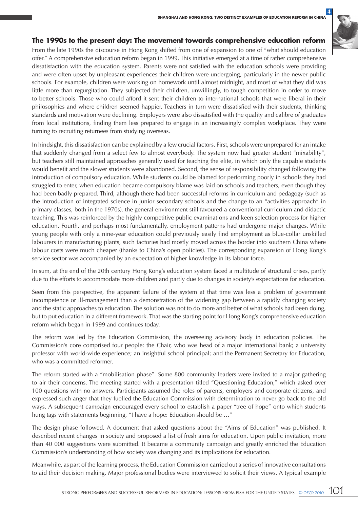## **The 1990s to the present day: The movement towards comprehensive education reform**

From the late 1990s the discourse in Hong Kong shifted from one of expansion to one of "what should education offer." A comprehensive education reform began in 1999. This initiative emerged at a time of rather comprehensive dissatisfaction with the education system. Parents were not satisfied with the education schools were providing and were often upset by unpleasant experiences their children were undergoing, particularly in the newer public schools. For example, children were working on homework until almost midnight, and most of what they did was little more than regurgitation. They subjected their children, unwillingly, to tough competition in order to move to better schools. Those who could afford it sent their children to international schools that were liberal in their philosophies and where children seemed happier. Teachers in turn were dissatisfied with their students, thinking standards and motivation were declining. Employers were also dissatisfied with the quality and calibre of graduates from local institutions, finding them less prepared to engage in an increasingly complex workplace. They were turning to recruiting returnees from studying overseas.

In hindsight, this dissatisfaction can be explained by a few crucial factors. First, schools were unprepared for an intake that suddenly changed from a select few to almost everybody. The system now had greater student "mixability", but teachers still maintained approaches generally used for teaching the elite, in which only the capable students would benefit and the slower students were abandoned. Second, the sense of responsibility changed following the introduction of compulsory education. While students could be blamed for performing poorly in schools they had struggled to enter, when education became compulsory blame was laid on schools and teachers, even though they had been badly prepared. Third, although there had been successful reforms in curriculum and pedagogy (such as the introduction of integrated science in junior secondary schools and the change to an "activities approach" in primary classes, both in the 1970s), the general environment still favoured a conventional curriculum and didactic teaching. This was reinforced by the highly competitive public examinations and keen selection process for higher education. Fourth, and perhaps most fundamentally, employment patterns had undergone major changes. While young people with only a nine-year education could previously easily find employment as blue-collar unskilled labourers in manufacturing plants, such factories had mostly moved across the border into southern China where labour costs were much cheaper (thanks to China's open policies). The corresponding expansion of Hong Kong's service sector was accompanied by an expectation of higher knowledge in its labour force.

In sum, at the end of the 20th century Hong Kong's education system faced a multitude of structural crises, partly due to the efforts to accommodate more children and partly due to changes in society's expectations for education.

Seen from this perspective, the apparent failure of the system at that time was less a problem of government incompetence or ill-management than a demonstration of the widening gap between a rapidly changing society and the static approaches to education. The solution was not to do more and better of what schools had been doing, but to put education in a different framework. That was the starting point for Hong Kong's comprehensive education reform which began in 1999 and continues today.

The reform was led by the Education Commission, the overseeing advisory body in education policies. The Commission's core comprised four people: the Chair, who was head of a major international bank; a university professor with world-wide experience; an insightful school principal; and the Permanent Secretary for Education, who was a committed reformer.

The reform started with a "mobilisation phase". Some 800 community leaders were invited to a major gathering to air their concerns. The meeting started with a presentation titled "Questioning Education," which asked over 100 questions with no answers. Participants assumed the roles of parents, employers and corporate citizens, and expressed such anger that they fuelled the Education Commission with determination to never go back to the old ways. A subsequent campaign encouraged every school to establish a paper "tree of hope" onto which students hung tags with statements beginning, "I have a hope: Education should be …"

The design phase followed. A document that asked questions about the "Aims of Education" was published. It described recent changes in society and proposed a list of fresh aims for education. Upon public invitation, more than 40 000 suggestions were submitted. It became a community campaign and greatly enriched the Education Commission's understanding of how society was changing and its implications for education.

Meanwhile, as part of the learning process, the Education Commission carried out a series of innovative consultations to aid their decision making. Major professional bodies were interviewed to solicit their views. A typical example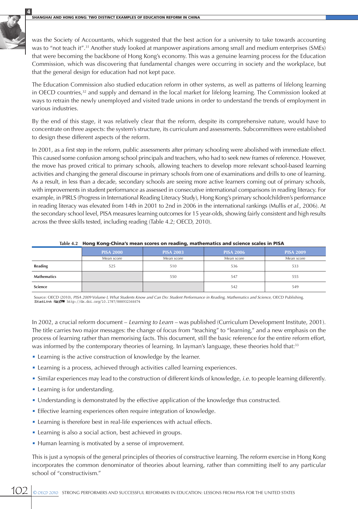was the Society of Accountants, which suggested that the best action for a university to take towards accounting was to "not teach it".<sup>31</sup> Another study looked at manpower aspirations among small and medium enterprises (SMEs) that were becoming the backbone of Hong Kong's economy. This was a genuine learning process for the Education Commission, which was discovering that fundamental changes were occurring in society and the workplace, but that the general design for education had not kept pace.

The Education Commission also studied education reform in other systems, as well as patterns of lifelong learning in OECD countries,<sup>32</sup> and supply and demand in the local market for lifelong learning. The Commission looked at ways to retrain the newly unemployed and visited trade unions in order to understand the trends of employment in various industries.

By the end of this stage, it was relatively clear that the reform, despite its comprehensive nature, would have to concentrate on three aspects: the system's structure, its curriculum and assessments. Subcommittees were established to design these different aspects of the reform.

In 2001, as a first step in the reform, public assessments after primary schooling were abolished with immediate effect. This caused some confusion among school principals and teachers, who had to seek new frames of reference. However, the move has proved critical to primary schools, allowing teachers to develop more relevant school-based learning activities and changing the general discourse in primary schools from one of examinations and drills to one of learning. As a result, in less than a decade, secondary schools are seeing more active learners coming out of primary schools, with improvements in student performance as assessed in consecutive international comparisons in reading literacy. For example, in PIRLS (Progress in International Reading Literacy Study), Hong Kong's primary schoolchildren's performance in reading literacy was elevated from 14th in 2001 to 2nd in 2006 in the international rankings (Mullis *et al.,* 2006)*.* At the secondary school level, PISA measures learning outcomes for 15 year-olds, showing fairly consistent and high results across the three skills tested, including reading (Table 4.2; OECD, 2010).

#### **Table 4.2** Hong Kong-China's mean scores on reading, mathematics and science scales in PISA

|                    | <b>PISA 2000</b> | <b>PISA 2003</b> | <b>PISA 2006</b> | <b>PISA 2009</b> |
|--------------------|------------------|------------------|------------------|------------------|
|                    | Mean score       | Mean score       | Mean score       | Mean score       |
| <b>Reading</b>     | 525              | 510              | 536              | 533              |
| <b>Mathematics</b> |                  | 550              | 547              | 555              |
| Science            |                  |                  | 542              | 549              |

Source: OECD (2010), *PISA 2009 Volume I, What Students Know and Can Do: Student Performance in Reading, Mathematics and Science, OECD Publishing.* Source: OECD (2010), *PISA 2009 Volume I, What Students Kn*<br>S**tatLink 編詞 h**ttp://dx.doi.org/10.1787/888932366674

In 2002, a crucial reform document – *Learning to Learn –* was published (Curriculum Development Institute, 2001). The title carries two major messages: the change of focus from "teaching" to "learning," and a new emphasis on the process of learning rather than memorising facts. This document, still the basic reference for the entire reform effort, was informed by the contemporary theories of learning. In layman's language, these theories hold that:<sup>33</sup>

- **•** Learning is the active construction of knowledge by the learner.
- *•* Learning is a process, achieved through activities called learning experiences.
- *•* Similar experiences may lead to the construction of different kinds of knowledge, *i.e*. to people learning differently.
- *•* Learning is for understanding.
- Understanding is demonstrated by the effective application of the knowledge thus constructed.
- Effective learning experiences often require integration of knowledge.
- *•* Learning is therefore best in real-life experiences with actual effects.
- Learning is also a social action, best achieved in groups.
- *•* Human learning is motivated by a sense of improvement.

This is just a synopsis of the general principles of theories of constructive learning. The reform exercise in Hong Kong incorporates the common denominator of theories about learning, rather than committing itself to any particular school of "constructivism."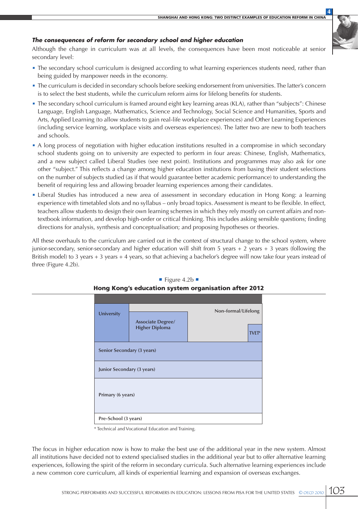### *The consequences of reform for secondary school and higher education*

Although the change in curriculum was at all levels, the consequences have been most noticeable at senior secondary level:

- The secondary school curriculum is designed according to what learning experiences students need, rather than being guided by manpower needs in the economy.
- *•* The curriculum is decided in secondary schools before seeking endorsement from universities. The latter's concern is to select the best students, while the curriculum reform aims for lifelong benefits for students.
- The secondary school curriculum is framed around eight key learning areas (KLA), rather than "subjects": Chinese Language, English Language, Mathematics, Science and Technology, Social Science and Humanities, Sports and Arts, Applied Learning (to allow students to gain real-life workplace experiences) and Other Learning Experiences (including service learning, workplace visits and overseas experiences). The latter two are new to both teachers and schools.
- A long process of negotiation with higher education institutions resulted in a compromise in which secondary school students going on to university are expected to perform in four areas: Chinese, English, Mathematics, and a new subject called Liberal Studies (see next point). Institutions and programmes may also ask for one other "subject." This reflects a change among higher education institutions from basing their student selections on the number of subjects studied (as if that would guarantee better academic performance) to understanding the benefit of requiring less and allowing broader learning experiences among their candidates.
- *•* Liberal Studies has introduced a new area of assessment in secondary education in Hong Kong: a learning experience with timetabled slots and no syllabus – only broad topics. Assessment is meant to be flexible. In effect, teachers allow students to design their own learning schemes in which they rely mostly on current affairs and nontextbook information, and develop high-order or critical thinking. This includes asking sensible questions; finding directions for analysis, synthesis and conceptualisation; and proposing hypotheses or theories.

All these overhauls to the curriculum are carried out in the context of structural change to the school system, where junior-secondary, senior-secondary and higher education will shift from  $5$  years  $+ 2$  years  $+ 3$  years (following the British model) to 3 years + 3 years + 4 years, so that achieving a bachelor's degree will now take four years instead of three (Figure 4.2b).

|                            |                                                   | Non-formal/Lifelong |
|----------------------------|---------------------------------------------------|---------------------|
| <b>University</b>          | <b>Associate Degree/</b><br><b>Higher Diploma</b> | <b>TVET*</b>        |
| Senior Secondary (3 years) |                                                   |                     |
| Junior Secondary (3 years) |                                                   |                     |
| Primary (6 years)          |                                                   |                     |
| Pre-School (3 years)       |                                                   |                     |

### *•* Figure 4.2b *•* Hong Kong's education system organisation after 2012

\* Technical and Vocational Education and Training.

The focus in higher education now is how to make the best use of the additional year in the new system. Almost all institutions have decided not to extend specialised studies in the additional year but to offer alternative learning experiences, following the spirit of the reform in secondary curricula. Such alternative learning experiences include a new common core curriculum, all kinds of experiential learning and expansion of overseas exchanges.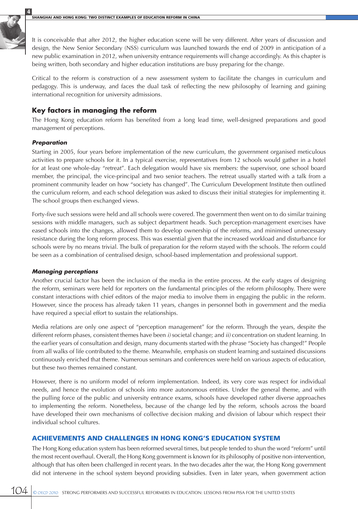It is conceivable that after 2012, the higher education scene will be very different. After years of discussion and design, the New Senior Secondary (NSS) curriculum was launched towards the end of 2009 in anticipation of a new public examination in 2012, when university entrance requirements will change accordingly. As this chapter is being written, both secondary and higher education institutions are busy preparing for the change.

Critical to the reform is construction of a new assessment system to facilitate the changes in curriculum and pedagogy. This is underway, and faces the dual task of reflecting the new philosophy of learning and gaining international recognition for university admissions.

## **Key factors in managing the reform**

The Hong Kong education reform has benefited from a long lead time, well-designed preparations and good management of perceptions.

#### *Preparation*

Starting in 2005, four years before implementation of the new curriculum, the government organised meticulous activities to prepare schools for it. In a typical exercise, representatives from 12 schools would gather in a hotel for at least one whole-day "retreat". Each delegation would have six members: the supervisor, one school board member, the principal, the vice-principal and two senior teachers. The retreat usually started with a talk from a prominent community leader on how "society has changed". The Curriculum Development Institute then outlined the curriculum reform, and each school delegation was asked to discuss their initial strategies for implementing it. The school groups then exchanged views.

Forty-five such sessions were held and all schools were covered. The government then went on to do similar training sessions with middle managers, such as subject department heads. Such perception-management exercises have eased schools into the changes, allowed them to develop ownership of the reforms, and minimised unnecessary resistance during the long reform process. This was essential given that the increased workload and disturbance for schools were by no means trivial. The bulk of preparation for the reform stayed with the schools. The reform could be seen as a combination of centralised design, school-based implementation and professional support.

#### *Managing perceptions*

Another crucial factor has been the inclusion of the media in the entire process. At the early stages of designing the reform, seminars were held for reporters on the fundamental principles of the reform philosophy. There were constant interactions with chief editors of the major media to involve them in engaging the public in the reform. However, since the process has already taken 11 years, changes in personnel both in government and the media have required a special effort to sustain the relationships.

Media relations are only one aspect of "perception management" for the reform. Through the years, despite the different reform phases, consistent themes have been *i)* societal change; and *ii)* concentration on student learning. In the earlier years of consultation and design, many documents started with the phrase "Society has changed!" People from all walks of life contributed to the theme. Meanwhile, emphasis on student learning and sustained discussions continuously enriched that theme. Numerous seminars and conferences were held on various aspects of education, but these two themes remained constant.

However, there is no uniform model of reform implementation. Indeed, its very core was respect for individual needs, and hence the evolution of schools into more autonomous entities. Under the general theme, and with the pulling force of the public and university entrance exams, schools have developed rather diverse approaches to implementing the reform. Nonetheless, because of the change led by the reform, schools across the board have developed their own mechanisms of collective decision making and division of labour which respect their individual school cultures.

#### Achievements and challenges in Hong Kong's education system

The Hong Kong education system has been reformed several times, but people tended to shun the word "reform" until the most recent overhaul. Overall, the Hong Kong government is known for its philosophy of positive non-intervention, although that has often been challenged in recent years. In the two decades after the war, the Hong Kong government did not intervene in the school system beyond providing subsidies. Even in later years, when government action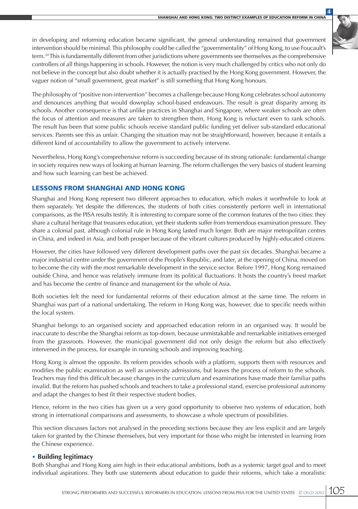in developing and reforming education became significant, the general understanding remained that government intervention should be minimal. This philosophy could be called the "governmentality" of Hong Kong, to use Foucault's term.34 This is fundamentally different from other jurisdictions where governments see themselves as the comprehensive controllers of all things happening in schools. However, the notion is very much challenged by critics who not only do not believe in the concept but also doubt whether it is actually practised by the Hong Kong government. However, the vaguer notion of "small government, great market" is still something that Hong Kong honours.

The philosophy of "positive non-intervention" becomes a challenge because Hong Kong celebrates school autonomy and denounces anything that would downplay school-based endeavours. The result is great disparity among its schools. Another consequence is that unlike practices in Shanghai and Singapore, where weaker schools are often the focus of attention and measures are taken to strengthen them, Hong Kong is reluctant even to rank schools. The result has been that some public schools receive standard public funding yet deliver sub-standard educational services. Parents see this as unfair. Changing the situation may not be straightforward, however, because it entails a different kind of accountability to allow the government to actively intervene.

Nevertheless, Hong Kong's comprehensive reform is succeeding because of its strong rationale: fundamental change in society requires new ways of looking at human learning. The reform challenges the very basics of student learning and how such learning can best be achieved.

# Lessons from Shanghai and Hong Kong

Shanghai and Hong Kong represent two different approaches to education, which makes it worthwhile to look at them separately. Yet despite the differences, the students of both cities consistently perform well in international comparisons, as the PISA results testify. It is interesting to compare some of the common features of the two cities: they share a cultural heritage that treasures education, yet their students suffer from tremendous examination pressure. They share a colonial past, although colonial rule in Hong Kong lasted much longer. Both are major metropolitan centres in China, and indeed in Asia, and both prosper because of the vibrant cultures produced by highly-educated citizens.

However, the cities have followed very different development paths over the past six decades. Shanghai became a major industrial centre under the government of the People's Republic, and later, at the opening of China, moved on to become the city with the most remarkable development in the service sector. Before 1997, Hong Kong remained outside China, and hence was relatively immune from its political fluctuations. It hosts the country's freest market and has become the centre of finance and management for the whole of Asia.

Both societies felt the need for fundamental reforms of their education almost at the same time. The reform in Shanghai was part of a national undertaking. The reform in Hong Kong was, however, due to specific needs within the local system.

Shanghai belongs to an organised society and approached education reform in an organised way. It would be inaccurate to describe the Shanghai reform as top-down, because unmistakable and remarkable initiatives emerged from the grassroots. However, the municipal government did not only design the reform but also effectively intervened in the process, for example in running schools and improving teaching.

Hong Kong is almost the opposite. Its reform provides schools with a platform, supports them with resources and modifies the public examination as well as university admissions, but leaves the process of reform to the schools. Teachers may find this difficult because changes in the curriculum and examinations have made their familiar paths invalid. But the reform has pushed schools and teachers to take a professional stand, exercise professional autonomy and adapt the changes to best fit their respective student bodies.

Hence, reform in the two cities has given us a very good opportunity to observe two systems of education, both strong in international comparisons and assessments, to showcase a whole spectrum of possibilities.

This section discusses factors not analysed in the preceding sections because they are less explicit and are largely taken for granted by the Chinese themselves, but very important for those who might be interested in learning from the Chinese experience.

# *•* **Building legitimacy**

Both Shanghai and Hong Kong aim high in their educational ambitions, both as a systemic target goal and to meet individual aspirations. They both use statements about education to guide their reforms, which take a moralistic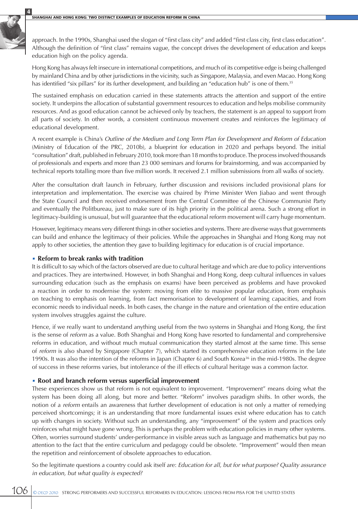approach. In the 1990s, Shanghai used the slogan of "first class city" and added "first class city, first class education". Although the definition of "first class" remains vague, the concept drives the development of education and keeps education high on the policy agenda.

Hong Kong has always felt insecure in international competitions, and much of its competitive edge is being challenged by mainland China and by other jurisdictions in the vicinity, such as Singapore, Malaysia, and even Macao. Hong Kong has identified "six pillars" for its further development, and building an "education hub" is one of them.<sup>35</sup>

The sustained emphasis on education carried in these statements attracts the attention and support of the entire society. It underpins the allocation of substantial government resources to education and helps mobilise community resources. And as good education cannot be achieved only by teachers, the statement is an appeal to support from all parts of society. In other words, a consistent continuous movement creates and reinforces the legitimacy of educational development.

A recent example is China's *Outline of the Medium and Long Term Plan for Development and Reform of Education*  (Ministry of Education of the PRC, 2010b), a blueprint for education in 2020 and perhaps beyond. The initial "consultation" draft, published in February 2010, took more than 18 months to produce. The process involved thousands of professionals and experts and more than 23 000 seminars and forums for brainstorming, and was accompanied by technical reports totalling more than five million words. It received 2.1 million submissions from all walks of society.

After the consultation draft launch in February, further discussion and revisions included provisional plans for interpretation and implementation. The exercise was chaired by Prime Minister Wen Jiabao and went through the State Council and then received endorsement from the Central Committee of the Chinese Communist Party and eventually the Politbureau, just to make sure of its high priority in the political arena. Such a strong effort in legitimacy-building is unusual, but will guarantee that the educational reform movement will carry huge momentum.

However, legitimacy means very different things in other societies and systems. There are diverse ways that governments can build and enhance the legitimacy of their policies. While the approaches in Shanghai and Hong Kong may not apply to other societies, the attention they gave to building legitimacy for education is of crucial importance.

#### *•* **Reform to break ranks with tradition**

It is difficult to say which of the factors observed are due to cultural heritage and which are due to policy interventions and practices. They are intertwined. However, in both Shanghai and Hong Kong, deep cultural influences in values surrounding education (such as the emphasis on exams) have been perceived as problems and have provoked a reaction in order to modernise the system: moving from elite to massive popular education, from emphasis on teaching to emphasis on learning, from fact memorisation to development of learning capacities, and from economic needs to individual needs. In both cases, the change in the nature and orientation of the entire education system involves struggles against the culture.

Hence, if we really want to understand anything useful from the two systems in Shanghai and Hong Kong, the first is the sense of *reform* as a value. Both Shanghai and Hong Kong have resorted to fundamental and comprehensive reforms in education, and without much mutual communication they started almost at the same time. This sense of *reform* is also shared by Singapore (Chapter 7), which started its comprehensive education reforms in the late 1990s. It was also the intention of the reforms in Japan (Chapter 6) and South Korea<sup>36</sup> in the mid-1980s. The degree of success in these reforms varies, but intolerance of the ill effects of cultural heritage was a common factor.

#### *•* **Root and branch reform versus superficial improvement**

These experiences show us that reform is not equivalent to improvement. "Improvement" means doing what the system has been doing all along, but more and better. "Reform" involves paradigm shifts. In other words, the notion of a *reform* entails an awareness that further development of education is not only a matter of remedying perceived shortcomings; it is an understanding that more fundamental issues exist where education has to catch up with changes in society. Without such an understanding, any "improvement" of the system and practices only reinforces what might have gone wrong. This is perhaps the problem with education policies in many other systems. Often, worries surround students' under-performance in visible areas such as language and mathematics but pay no attention to the fact that the entire curriculum and pedagogy could be obsolete. "Improvement" would then mean the repetition and reinforcement of obsolete approaches to education.

So the legitimate questions a country could ask itself are: *Education for all, but for what purpose? Quality assurance in education, but what quality is expected?*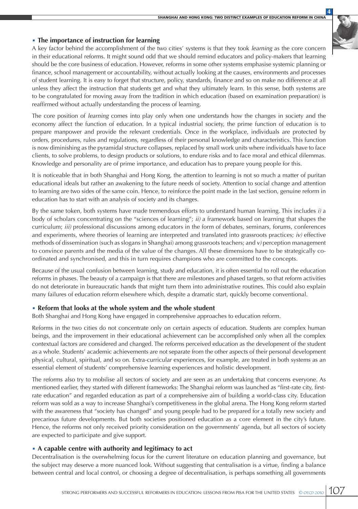#### *•* **The importance of instruction for learning**

A key factor behind the accomplishment of the two cities' systems is that they took *learning* as the core concern in their educational reforms. It might sound odd that we should remind educators and policy-makers that learning should be the core business of education. However, reforms in some other systems emphasise systemic planning or finance, school management or accountability, without actually looking at the causes, environments and processes of student learning. It is easy to forget that structure, policy, standards, finance and so on make no difference at all unless they affect the instruction that students get and what they ultimately learn. In this sense, both systems are to be congratulated for moving away from the tradition in which education (based on examination preparation) is reaffirmed without actually understanding the process of learning.

The core position of *learning* comes into play only when one understands how the changes in society and the economy affect the function of education. In a typical industrial society, the prime function of education is to prepare manpower and provide the relevant credentials. Once in the workplace, individuals are protected by orders, procedures, rules and regulations, regardless of their personal knowledge and characteristics. This function is now diminishing as the pyramidal structure collapses, replaced by small work units where individuals have to face clients, to solve problems, to design products or solutions, to endure risks and to face moral and ethical dilemmas. Knowledge and personality are of prime importance, and education has to prepare young people for this.

It is noticeable that in both Shanghai and Hong Kong, the attention to learning is not so much a matter of puritan educational ideals but rather an awakening to the future needs of society. Attention to social change and attention to learning are two sides of the same coin. Hence, to reinforce the point made in the last section, genuine reform in education has to start with an analysis of society and its changes.

By the same token, both systems have made tremendous efforts to understand human learning. This includes *i)* a body of scholars concentrating on the "sciences of learning"; *ii)* a framework based on learning that shapes the curriculum; *iii)* professional discussions among educators in the form of debates, seminars, forums, conferences and experiments, where theories of learning are interpreted and translated into grassroots practices; *iv)* effective methods of dissemination (such as slogans in Shanghai) among grassroots teachers; and *v)* perception management to convince parents and the media of the value of the changes. All these dimensions have to be strategically coordinated and synchronised, and this in turn requires champions who are committed to the concepts.

Because of the usual confusion between learning, study and education, it is often essential to roll out the education reforms in phases. The beauty of a campaign is that there are milestones and phased targets, so that reform activities do not deteriorate in bureaucratic hands that might turn them into administrative routines. This could also explain many failures of education reform elsewhere which, despite a dramatic start, quickly become conventional.

#### *•* **Reform that looks at the whole system and the whole student**

Both Shanghai and Hong Kong have engaged in comprehensive approaches to education reform.

Reforms in the two cities do not concentrate only on certain aspects of education. Students are complex human beings, and the improvement in their educational achievement can be accomplished only when all the complex contextual factors are considered and changed. The reforms perceived education as the development of the student as a whole. Students' academic achievements are not separate from the other aspects of their personal development physical, cultural, spiritual, and so on. Extra-curricular experiences, for example, are treated in both systems as an essential element of students' comprehensive learning experiences and holistic development.

The reforms also try to mobilise all sectors of society and are seen as an undertaking that concerns everyone. As mentioned earlier, they started with different frameworks: The Shanghai reform was launched as "first-rate city, firstrate education" and regarded education as part of a comprehensive aim of building a world-class city. Education reform was sold as a way to increase Shanghai's competitiveness in the global arena. The Hong Kong reform started with the awareness that "society has changed" and young people had to be prepared for a totally new society and precarious future developments. But both societies positioned education as a core element in the city's future. Hence, the reforms not only received priority consideration on the governments' agenda, but all sectors of society are expected to participate and give support.

#### *•* **A capable centre with authority and legitimacy to act**

Decentralisation is the overwhelming focus for the current literature on education planning and governance, but the subject may deserve a more nuanced look. Without suggesting that centralisation is a virtue, finding a balance between central and local control, or choosing a degree of decentralisation, is perhaps something all governments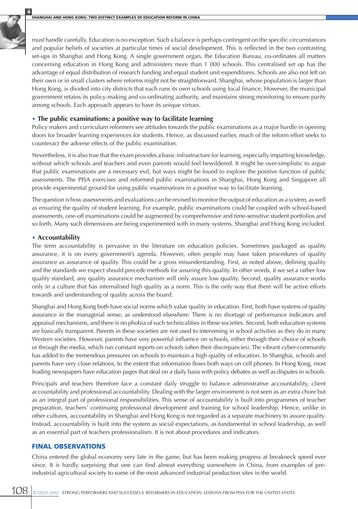must handle carefully. Education is no exception. Such a balance is perhaps contingent on the specific circumstances and popular beliefs of societies at particular times of social development. This is reflected in the two contrasting set-ups in Shanghai and Hong Kong. A single government organ, the Education Bureau, co-ordinates all matters concerning education in Hong Kong and administers more than 1 000 schools. This centralised set up has the advantage of equal distribution of research funding and equal student unit expenditures. Schools are also not left on their own or in small clusters where reforms might not be straightforward. Shanghai, whose population is larger than Hong Kong, is divided into city districts that each runs its own schools using local finance. However, the municipal government retains its policy-making and co-ordinating authority, and maintains strong monitoring to ensure parity among schools. Each approach appears to have its unique virtues.

#### *•* **The public examinations: a positive way to facilitate learning**

Policy makers and curriculum reformers see attitudes towards the public examinations as a major hurdle in opening doors for broader learning experiences for students. Hence, as discussed earlier, much of the reform effort seeks to counteract the adverse effects of the public examination.

Nevertheless, it is also true that the exam provides a basic infrastructure for learning, especially imparting knowledge, without which schools and teachers and even parents would feel bewildered. It might be over-simplistic to argue that public examinations are a necessary evil, but ways might be found to explore the positive function of public assessments. The PISA exercises and reformed public examinations in Shanghai, Hong Kong and Singapore all provide experimental ground for using public examinations in a positive way to facilitate learning.

The question is how assessments and evaluations can be revised to monitor the output of education *as a system*, as well as ensuring the quality of student learning. For example, public examinations could be coupled with school-based assessments, one-off examinations could be augmented by comprehensive and time-sensitive student portfolios and so forth. Many such dimensions are being experimented with in many systems, Shanghai and Hong Kong included.

#### *•* **Accountability**

The term accountability is pervasive in the literature on education policies. Sometimes packaged as quality assurance, it is on every government's agenda. However, often people may have taken procedures of quality assurance as assurance of quality. This could be a gross misunderstanding. First, as noted above, defining quality and the standards we expect should precede methods for assuring this quality. In other words, if we set a rather low quality standard, any quality assurance mechanism will only assure low quality. Second, quality assurance works only in a culture that has internalised high quality as a norm. This is the only way that there will be active efforts towards and understanding of quality across the board.

Shanghai and Hong Kong both have social norms which value quality in education. First, both have systems of quality assurance in the managerial sense, as understood elsewhere. There is no shortage of performance indicators and appraisal mechanisms, and there is no phobia of such technicalities in these societies. Second, both education systems are basically transparent. Parents in these societies are not used to intervening in school activities as they do in many Western societies. However, parents have very powerful influence on schools, either through their choice of schools or through the media, which run constant reports on schools (often their discrepancies). The vibrant cyber-community has added to the tremendous pressures on schools to maintain a high quality of education. In Shanghai, schools and parents have very close relations, to the extent that information flows both ways on cell phones. In Hong Kong, most leading newspapers have education pages that deal on a daily basis with policy debates as well as disputes in schools.

Principals and teachers therefore face a constant daily struggle to balance administrative accountability, client accountability and professional accountability. Dealing with the larger environment is not seen as an extra chore but as an integral part of professional responsibilities. This sense of accountability is built into programmes of teacher preparation, teachers' continuing professional development and training for school leadership. Hence, unlike in other cultures, accountability in Shanghai and Hong Kong is not regarded as a separate machinery to assure quality. Instead, accountability is built into the system as social expectations, as fundamental in school leadership, as well as an essential part of teachers professionalism. It is not about procedures and indicators.

#### Final observations

China entered the global economy very late in the game, but has been making progress at breakneck speed ever since. It is hardly surprising that one can find almost everything somewhere in China, from examples of preindustrial agricultural society to some of the most advanced industrial production sites in the world.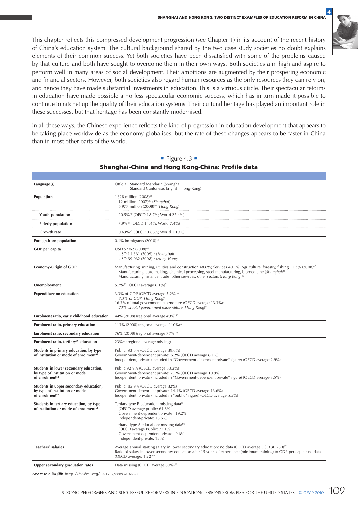This chapter reflects this compressed development progression (see Chapter 1) in its account of the recent history of China's education system. The cultural background shared by the two case study societies no doubt explains elements of their common success. Yet both societies have been dissatisfied with some of the problems caused by that culture and both have sought to overcome them in their own ways. Both societies aim high and aspire to perform well in many areas of social development. Their ambitions are augmented by their prospering economic and financial sectors. However, both societies also regard human resources as the only resources they can rely on, and hence they have made substantial investments in education. This is a virtuous circle. Their spectacular reforms in education have made possible a no less spectacular economic success, which has in turn made it possible to continue to ratchet up the quality of their education systems. Their cultural heritage has played an important role in these successes, but that heritage has been constantly modernised.

In all these ways, the Chinese experience reflects the kind of progression in education development that appears to be taking place worldwide as the economy globalises, but the rate of these changes appears to be faster in China than in most other parts of the world.

| Language(s)                                                                                            | Official: Standard Mandarin (Shanghai)<br>Standard Cantonese; English (Hong-Kong)                                                                                                                                                                                                                                                          |  |
|--------------------------------------------------------------------------------------------------------|--------------------------------------------------------------------------------------------------------------------------------------------------------------------------------------------------------------------------------------------------------------------------------------------------------------------------------------------|--|
| Population                                                                                             | 1328 million (2008) <sup>37</sup><br>12 million (2007) <sup>38</sup> (Shanghai)<br>6 977 million (2008) <sup>39</sup> (Hong Kong)                                                                                                                                                                                                          |  |
| Youth population                                                                                       | 20.5% <sup>40</sup> (OECD 18.7%; World 27.4%)                                                                                                                                                                                                                                                                                              |  |
| Elderly population                                                                                     | 7.9% <sup>41</sup> (OECD 14.4%; World 7.4%)                                                                                                                                                                                                                                                                                                |  |
| Growth rate                                                                                            | 0.63% <sup>42</sup> (OECD 0.68%; World 1.19%)                                                                                                                                                                                                                                                                                              |  |
| Foreign-born population                                                                                | $0.1\%$ Immigrants $(2010)^{43}$                                                                                                                                                                                                                                                                                                           |  |
| GDP per capita                                                                                         | USD 5 962 (2008) <sup>44</sup><br>USD 11 361 (2009) <sup>45</sup> (Shanghai)<br>USD 39 062 (2008) <sup>46</sup> (Hong-Kong)                                                                                                                                                                                                                |  |
| <b>Economy-Origin of GDP</b>                                                                           | Manufacturing, mining, utilities and construction 48.6%; Services 40.1%; Agriculture, forestry, fishing 11.3% (2008) <sup>47</sup><br>Manufacturing, auto making, chemical processing, steel manufacturing, biomedicine (Shanghai) <sup>48</sup><br>Manufacturing, finance, trade, other services, other sectors (Hong Kong) <sup>49</sup> |  |
| Unemployment                                                                                           | 5.7% <sup>50</sup> (OECD average 6.1%) <sup>51</sup>                                                                                                                                                                                                                                                                                       |  |
| <b>Expenditure on education</b>                                                                        | 3.3% of GDP (OECD average $5.2\%$ ) <sup>52</sup><br>3.3% of GDP (Hong Kong) <sup>53</sup><br>16.3% of total government expenditure (OECD average 13.3%) <sup>54</sup><br>23% of total government expenditure (Hong Kong) <sup>55</sup>                                                                                                    |  |
| Enrolment ratio, early childhood education                                                             | 44% (2008) (regional average 49%) <sup>56</sup>                                                                                                                                                                                                                                                                                            |  |
| Enrolment ratio, primary education                                                                     | 113% (2008) (regional average $110\%$ ) <sup>57</sup>                                                                                                                                                                                                                                                                                      |  |
| Enrolment ratio, secondary education                                                                   | 76% (2008) (regional average 77%) <sup>58</sup>                                                                                                                                                                                                                                                                                            |  |
| Enrolment ratio, tertiary <sup>59</sup> education                                                      | 23% <sup>60</sup> (regional average missing)                                                                                                                                                                                                                                                                                               |  |
| Students in primary education, by type<br>of institution or mode of enrolment <sup>61</sup>            | Public: 93.8% (OECD average 89.6%)<br>Government-dependent private: 6.2% (OECD average 8.1%)<br>Independent, private (included in "Government-dependent private" figure) (OECD average 2.9%)                                                                                                                                               |  |
| Students in lower secondary education,<br>by type of institution or mode<br>of enrolment <sup>62</sup> | Public 92.9% (OECD average 83.2%)<br>Government-dependent private: 7.1% (OECD average 10.9%)<br>Independent, private (included in "Government-dependent private" figure) (OECD average 3.5%)                                                                                                                                               |  |
| Students in upper secondary education,<br>by type of institution or mode<br>of enrolment <sup>63</sup> | Public: 85.9% (OECD average 82%)<br>Government-dependent private: 14.1% (OECD average 13.6%)<br>Independent, private (included in "public" figure) (OECD average 5.5%)                                                                                                                                                                     |  |
| Students in tertiary education, by type<br>of institution or mode of enrolment <sup>64</sup>           | Tertiary type B education: missing data <sup>65</sup><br>(OECD average public: 61.8%<br>Government-dependent private: 19.2%<br>Independent-private: 16.6%)                                                                                                                                                                                 |  |
|                                                                                                        | Tertiary type A education: missing data <sup>66</sup><br>(OECD average Public: 77.1%<br>Government-dependent private: 9.6%<br>Independent-private: 15%)                                                                                                                                                                                    |  |
| Teachers' salaries                                                                                     | Average annual starting salary in lower secondary education: no data (OECD average USD 30 750) <sup>67</sup><br>Ratio of salary in lower secondary education after 15 years of experience (minimum training) to GDP per capita: no data<br>(OECD average: 1.22) <sup>68</sup>                                                              |  |
| Upper secondary graduation rates                                                                       | Data missing (OECD average 80%) <sup>69</sup>                                                                                                                                                                                                                                                                                              |  |

# *•* Figure 4.3 *•* Shanghai-China and Hong Kong-China: Profile data

**StatLink 115** http://dx.doi.org/10.1787/888932366674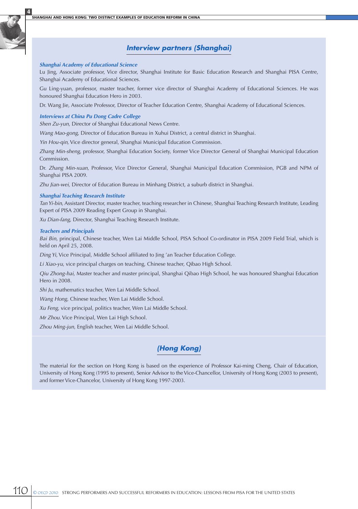### *Interview partners (Shanghai)*

#### *Shanghai Academy of Educational Science*

4

Lu Jing, Associate professor, Vice director, Shanghai Institute for Basic Education Research and Shanghai PISA Centre, Shanghai Academy of Educational Sciences.

Gu Ling-yuan, professor, master teacher, former vice director of Shanghai Academy of Educational Sciences. He was honoured Shanghai Education Hero in 2003.

Dr. Wang Jie, Associate Professor, Director of Teacher Education Centre, Shanghai Academy of Educational Sciences.

#### *Interviews at China Pu Dong Cadre College*

*Shen Zu-yun*, Director of Shanghai Educational News Centre.

*Wang Mao-gong*, Director of Education Bureau in Xuhui District, a central district in Shanghai.

*Yin Hou-qin,* Vice director general, Shanghai Municipal Education Commission.

*Zhang Min-sheng*, professor, Shanghai Education Society, former Vice Director General of Shanghai Municipal Education Commission.

Dr. *Zhang Min-xuan*, Professor, Vice Director General, Shanghai Municipal Education Commission, PGB and NPM of Shanghai PISA 2009.

*Zhu Jian-wei,* Director of Education Bureau in Minhang District, a suburb district in Shanghai.

#### *Shanghai Teaching Research Institute*

*Tan Yi-bin*, Assistant Director, master teacher, teaching researcher in Chinese, Shanghai Teaching Research Institute, Leading Expert of PISA 2009 Reading Expert Group in Shanghai.

*Xu Dian-fang*, Director, Shanghai Teaching Research Institute.

#### *Teachers and Principals*

*Bai Bin*, principal, Chinese teacher, Wen Lai Middle School, PISA School Co-ordinator in PISA 2009 Field Trial, which is held on April 25, 2008.

*Ding Yi*, Vice Principal, Middle School affiliated to Jing 'an Teacher Education College.

*Li Xiao-yu*, vice principal charges on teaching, Chinese teacher, Qibao High School.

*Qiu Zhong-hai*, Master teacher and master principal, Shanghai Qibao High School, he was honoured Shanghai Education Hero in 2008.

*Shi Ju*, mathematics teacher, Wen Lai Middle School.

*Wang Hong*, Chinese teacher, Wen Lai Middle School.

*Xu Feng*, vice principal, politics teacher, Wen Lai Middle School.

*Mr Zhou*. Vice Principal, Wen Lai High School.

*Zhou Ming-jun*, English teacher, Wen Lai Middle School.

#### *(Hong Kong)*

The material for the section on Hong Kong is based on the experience of Professor Kai-ming Cheng, Chair of Education, University of Hong Kong (1995 to present), Senior Advisor to the Vice-Chancellor, University of Hong Kong (2003 to present), and former Vice-Chancelor, University of Hong Kong 1997-2003.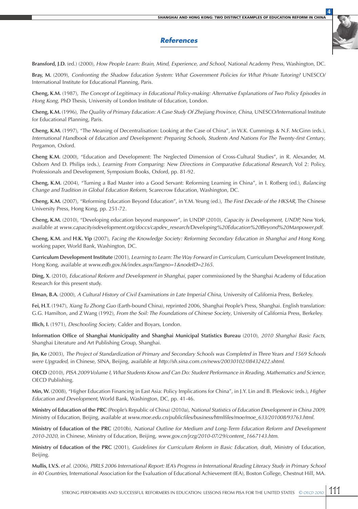# 4

# *References*

**Bransford, J.D.** (ed.) (2000), *How People Learn: Brain, Mind, Experience, and School,* National Academy Press, Washington, DC.

**Bray, M.** (2009), *Confronting the Shadow Education System: What Government Policies for What Private Tutoring?* UNESCO/ International Institute for Educational Planning, Paris.

**Cheng, K.M.** (1987), *The Concept of Legitimacy in Educational Policy-making: Alternative Explanations of Two Policy Episodes in Hong Kong*, PhD Thesis, University of London Institute of Education, London.

**Cheng, K.M.** (1996), *The Quality of Primary Education: A Case Study Of Zhejiang Province, China*, UNESCO/International Institute for Educational Planning, Paris.

**Cheng, K.M.** (1997), "The Meaning of Decentralisation: Looking at the Case of China", in W.K. Cummings & N.F. McGinn (eds.), *International Handbook of Education and Development: Preparing Schools, Students And Nations For The Twenty-first Century*, Pergamon, Oxford.

**Cheng K.M.** (2000), "Education and Development: The Neglected Dimension of Cross-Cultural Studies", in R. Alexander, M. Osborn And D. Philips (eds.), *Learning From Comparing: New Directions in Comparative Educational Research,* Vol 2: Policy, Professionals and Development, Symposium Books, Oxford, pp. 81-92.

**Cheng, K.M.** (2004), "Turning a Bad Master into a Good Servant: Reforming Learning in China", in I. Rotberg (ed.), *Balancing Change and Tradition in Global Education Reform*, Scarecrow Education, Washington, DC.

**Cheng, K.M.** (2007), "Reforming Education Beyond Education", in Y.M. Yeung (ed.), *The First Decade of the HKSAR*, The Chinese University Press, Hong Kong, pp. 251-72.

**Cheng, K.M.** (2010), "Developing education beyond manpower", in UNDP (2010), *Capacity is Development, UNDP,* New York, available at *www.capacityisdevelopment.org/doccs/capdev\_research/Developing%20Education%20Beyond%20Manpower.pdf.*

**Cheng, K.M.** and **H.K. Yip** (2007), *Facing the Knowledge Society: Reforming Secondary Education in Shanghai and Hong Kong*, working paper, World Bank, Washington, DC.

**Curriculum Development Institute** (2001), *Learning to Learn: The Way Forward in Curriculum*, Curriculum Development Institute, Hong Kong, available at *www.edb.gov.hk/index.aspx?langno=1&nodeID=2365.*

**Ding, X.** (2010), *Educational Reform and Development in Shanghai*, paper commissioned by the Shanghai Academy of Education Research for this present study.

**Elman, B.A.** (2000), *A Cultural History of Civil Examinations in Late Imperial China,* University of California Press, Berkeley.

**Fei, H.T.** (1947), *Xiang Tu Zhong Guo* (Earth-bound China), reprinted 2006, Shanghai People's Press, Shanghai. English translation: G.G. Hamilton, and Z Wang (1992), *From the Soil: The Foundations of Chinese Society*, University of California Press, Berkeley.

**Illich, I.** (1971), *Deschooling Society*, Calder and Boyars, London.

**Information Office of Shanghai Municipality and Shanghai Municipal Statistics Bureau** (2010), *2010 Shanghai Basic Facts*, Shanghai Literature and Art Publishing Group, Shanghai.

**Jin, Ke** (2003), *The Project of Standardization of Primary and Secondary Schools was Completed in Three Years and 1569 Schools were Upgraded,* in Chinese, SINA, Beijing, available at *http://sh.sina.com.cn/news/20030102/08432422.shtml.*

**OECD** (2010), *PISA 2009 Volume I, What Students Know and Can Do: Student Performance in Reading, Mathematics and Science*, OECD Publishing.

**Min, W.** (2008), "Higher Education Financing in East Asia: Policy Implications for China", in J.Y. Lin and B. Pleskovic (eds.), *Higher Education and Development*, World Bank, Washington, DC, pp. 41-46.

**Ministry of Education of the PRC** (People's Republic of China) (2010a), *National Statistics of Education Development in China 2009,*  Ministry of Education, Beijing, available at *www.moe.edu.cn/publicfiles/business/htmlfiles/moe/moe\_633/201008/93763.html.*

**Ministry of Education of the PRC** (2010b), *National Outline for Medium and Long-Term Education Reform and Development 2010-2020*, in Chinese, Ministry of Education, Beijing, *www.gov.cn/jrzg/2010-07/29/content\_1667143.htm.*

**Ministry of Education of the PRC** (2001), *Guidelines for Curriculum Reform in Basic Education,* draft, Ministry of Education, Beijing.

**Mullis, I.V.S.** *et al*. (2006), *PIRLS 2006 International Report: IEA's Progress in International Reading Literacy Study in Primary School in 40 Countries,* International Association for the Evaluation of Educational Achievement (IEA), Boston College, Chestnut Hill, MA.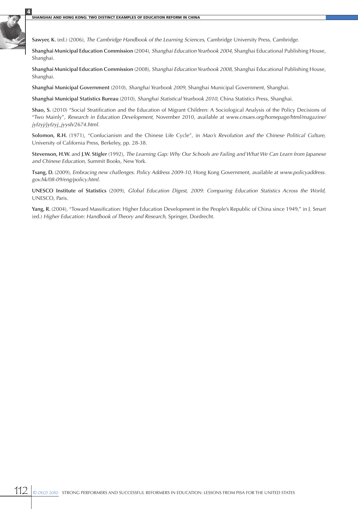**Sawyer, K.** (ed.) (2006), *The Cambridge Handbook of the Learning Sciences,* Cambridge University Press, Cambridge.

**Shanghai Municipal Education Commission** (2004), *Shanghai Education Yearbook 2004,* Shanghai Educational Publishing House, Shanghai.

**Shanghai Municipal Education Commission** (2008), *Shanghai Education Yearbook 2008,* Shanghai Educational Publishing House, Shanghai.

**Shanghai Municipal Government** (2010), *Shanghai Yearbook 2009*, Shanghai Municipal Government, Shanghai.

**Shanghai Municipal Statistics Bureau** (2010), *Shanghai Statistical Yearbook 2010*, China Statistics Press, Shanghai.

**Shao, S.** (2010) "Social Stratification and the Education of Migrant Children: A Sociological Analysis of the Policy Decisions of "Two Mainly", *Research in Education Development,* November 2010, available at *www.cnsaes.org/homepage/html/magazine/ jyfzyj/jyfzyj\_jyysh/2674.html.*

**Solomon, R.H.** (1971), "Confucianism and the Chinese Life Cycle", in *Mao's Revolution and the Chinese Political Culture*, University of California Press, Berkeley, pp. 28-38.

**Stevenson, H.W.** and **J.W. Stigler** (1992), *The Learning Gap: Why Our Schools are Failing and What We Can Learn from Japanese and Chinese Education,* Summit Books, New York.

**Tsang, D.** (2009), *Embracing new challenges. Policy Address 2009-10,* Hong Kong Government, available at *www.policyaddress. gov.hk/08-09/eng/policy.html.*

**UNESCO Institute of Statistics** (2009), *Global Education Digest, 2009: Comparing Education Statistics Across the World,*  UNESCO, Paris.

Yang, R. (2004), "Toward Massification: Higher Education Development in the People's Republic of China since 1949," in J. Smart (ed.) *Higher Education: Handbook of Theory and Research,* Springer, Dordrecht.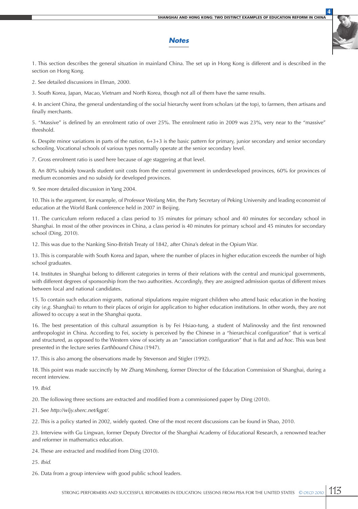#### *Notes*

1. This section describes the general situation in mainland China. The set up in Hong Kong is different and is described in the section on Hong Kong.

2. See detailed discussions in Elman, 2000.

3. South Korea, Japan, Macao, Vietnam and North Korea, though not all of them have the same results.

4. In ancient China, the general understanding of the social hierarchy went from scholars (at the top), to farmers, then artisans and finally merchants.

5. "Massive" is defined by an enrolment ratio of over 25%. The enrolment ratio in 2009 was 23%, very near to the "massive" threshold.

6. Despite minor variations in parts of the nation, 6+3+3 is the basic pattern for primary, junior secondary and senior secondary schooling. Vocational schools of various types normally operate at the senior secondary level.

7. Gross enrolment ratio is used here because of age staggering at that level.

8. An 80% subsidy towards student unit costs from the central government in underdeveloped provinces, 60% for provinces of medium economies and no subsidy for developed provinces.

9. See more detailed discussion in Yang 2004.

10. This is the argument, for example, of Professor Weifang Min, the Party Secretary of Peking University and leading economist of education at the World Bank conference held in 2007 in Beijing.

11. The curriculum reform reduced a class period to 35 minutes for primary school and 40 minutes for secondary school in Shanghai. In most of the other provinces in China, a class period is 40 minutes for primary school and 45 minutes for secondary school (Ding, 2010).

12. This was due to the Nanking Sino-British Treaty of 1842, after China's defeat in the Opium War.

13. This is comparable with South Korea and Japan, where the number of places in higher education exceeds the number of high school graduates.

14. Institutes in Shanghai belong to different categories in terms of their relations with the central and municipal governments, with different degrees of sponsorship from the two authorities. Accordingly, they are assigned admission quotas of different mixes between local and national candidates.

15. To contain such education migrants, national stipulations require migrant children who attend basic education in the hosting city (*e.g.* Shanghai) to return to their places of origin for application to higher education institutions. In other words, they are not allowed to occupy a seat in the Shanghai quota.

16. The best presentation of this cultural assumption is by Fei Hsiao-tung, a student of Malinovsky and the first renowned anthropologist in China. According to Fei, society is perceived by the Chinese in a "hierarchical configuration" that is vertical and structured, as opposed to the Western view of society as an "association configuration" that is flat and *ad hoc*. This was best presented in the lecture series *Earthbound China* (1947).

17. This is also among the observations made by Stevenson and Stigler (1992).

18. This point was made succinctly by Mr Zhang Minsheng, former Director of the Education Commission of Shanghai, during a recent interview.

19. *Ibid.*

20. The following three sections are extracted and modified from a commissioned paper by Ding (2010).

21. See *http://wljy.sherc.net/kgpt/.*

22. This is a policy started in 2002, widely quoted. One of the most recent discussions can be found in Shao, 2010.

23. Interview with Gu Lingwan, former Deputy Director of the Shanghai Academy of Educational Research, a renowned teacher and reformer in mathematics education.

24. These are extracted and modified from Ding (2010)*.*

25. *Ibid.*

26. Data from a group interview with good public school leaders.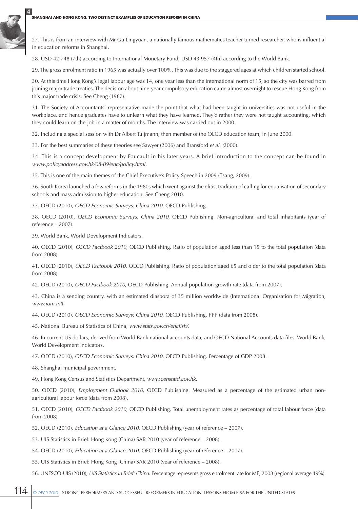27. This is from an interview with Mr Gu Lingyuan, a nationally famous mathematics teacher turned researcher, who is influential in education reforms in Shanghai.

28. USD 42 748 (7th) according to International Monetary Fund; USD 43 957 (4th) according to the World Bank.

29. The gross enrolment ratio in 1965 was actually over 100%. This was due to the staggered ages at which children started school.

30. At this time Hong Kong's legal labour age was 14, one year less than the international norm of 15, so the city was barred from joining major trade treaties. The decision about nine-year compulsory education came almost overnight to rescue Hong Kong from this major trade crisis. See Cheng (1987).

31. The Society of Accountants' representative made the point that what had been taught in universities was not useful in the workplace, and hence graduates have to unlearn what they have learned. They'd rather they were not taught accounting, which they could learn on-the-job in a matter of months. The interview was carried out in 2000.

32. Including a special session with Dr Albert Tuijmann, then member of the OECD education team, in June 2000.

33. For the best summaries of these theories see Sawyer (2006) and Bransford *et al. (*2000).

34. This is a concept development by Foucault in his later years. A brief introduction to the concept can be found in *www.policyaddress.gov.hk/08-09/eng/policy.html.*

35. This is one of the main themes of the Chief Executive's Policy Speech in 2009 (Tsang, 2009).

36. South Korea launched a few reforms in the 1980s which went against the elitist tradition of calling for equalisation of secondary schools and mass admission to higher education. See Cheng 2010.

37. OECD (2010), *OECD Economic Surveys: China 2010*, OECD Publishing.

38. OECD (2010), *OECD Economic Surveys: China 2010,* OECD Publishing. Non-agricultural and total inhabitants (year of reference – 2007).

39. World Bank, World Development Indicators.

40. OECD (2010), *OECD Factbook 2010*, OECD Publishing. Ratio of population aged less than 15 to the total population (data from 2008).

41. OECD (2010), *OECD Factbook 2010*, OECD Publishing. Ratio of population aged 65 and older to the total population (data from 2008).

42. OECD (2010), *OECD Factbook 2010*, OECD Publishing. Annual population growth rate (data from 2007).

43. China is a sending country, with an estimated diaspora of 35 million worldwide (International Organisation for Migration, *www.iom.int*).

44. OECD (2010), *OECD Economic Surveys: China 2010*, OECD Publishing. PPP (data from 2008).

45. National Bureau of Statistics of China, *www.stats.gov.cn/english/.*

46. In current US dollars, derived from World Bank national accounts data, and OECD National Accounts data files. World Bank, World Development Indicators.

47. OECD (2010), *OECD Economic Surveys: China 2010*, OECD Publishing. Percentage of GDP 2008.

48. Shanghai municipal government.

49. Hong Kong Census and Statistics Department, *www.censtatd.gov.hk.*

50. OECD (2010), *Employment Outlook 2010*, OECD Publishing. Measured as a percentage of the estimated urban nonagricultural labour force (data from 2008).

51. OECD (2010), *OECD Factbook 2010*, OECD Publishing. Total unemployment rates as percentage of total labour force (data from 2008).

52. OECD (2010), *Education at a Glance 2010*, OECD Publishing (year of reference – 2007).

53. UIS Statistics in Brief: Hong Kong (China) SAR 2010 (year of reference – 2008).

54. OECD (2010), *Education at a Glance 2010*, OECD Publishing (year of reference – 2007).

55. UIS Statistics in Brief: Hong Kong (China) SAR 2010 (year of reference – 2008).

56. UNESCO-UIS (2010), *UIS Statistics in Brief: China*. Percentage represents gross enrolment rate for MF; 2008 (regional average 49%).